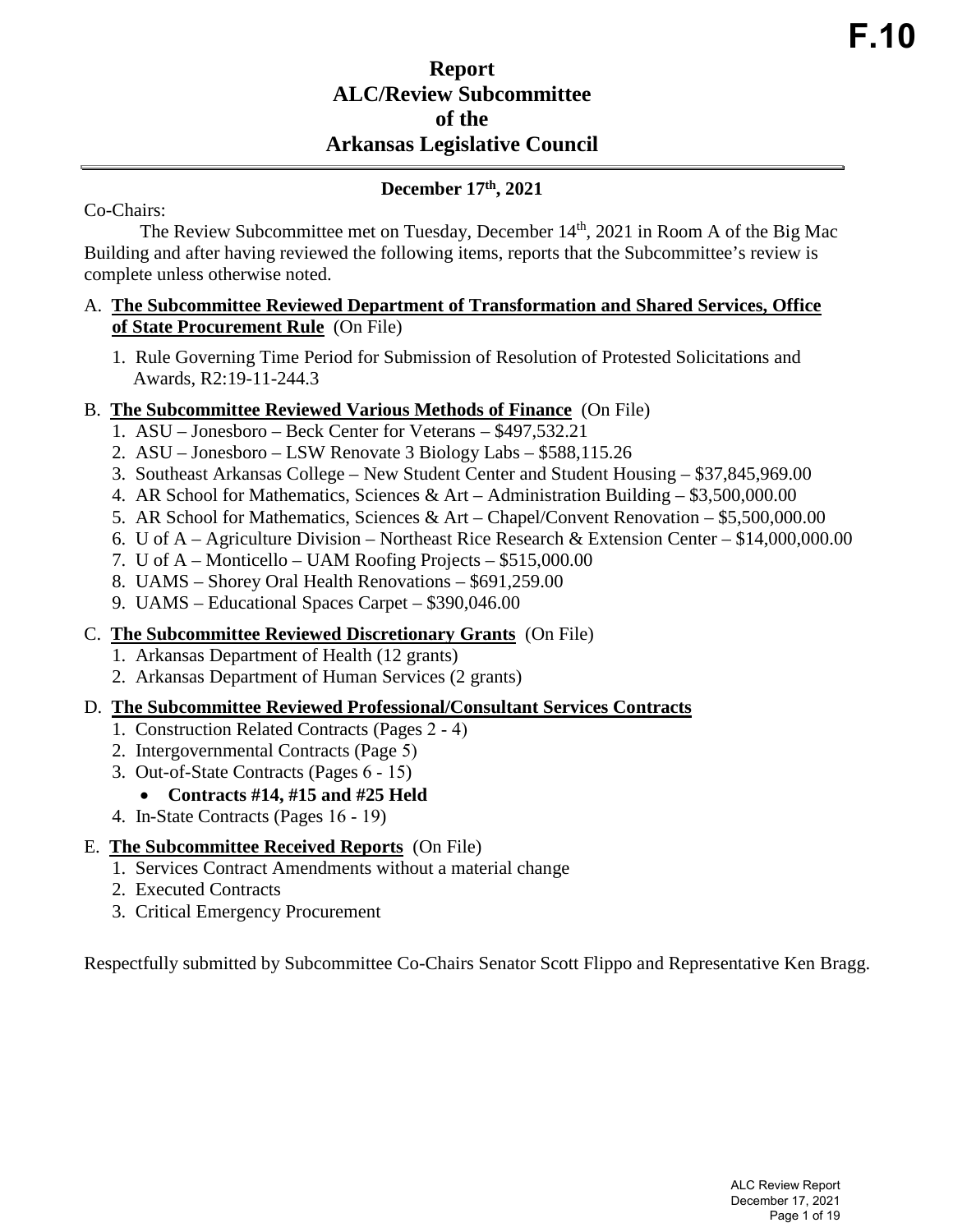# **Report ALC/Review Subcommittee of the Arkansas Legislative Council**

## **December 17th, 2021**

Co-Chairs:

The Review Subcommittee met on Tuesday, December 14<sup>th</sup>, 2021 in Room A of the Big Mac Building and after having reviewed the following items, reports that the Subcommittee's review is complete unless otherwise noted.

#### A. **The Subcommittee Reviewed Department of Transformation and Shared Services, Office of State Procurement Rule** (On File)

1. Rule Governing Time Period for Submission of Resolution of Protested Solicitations and Awards, R2:19-11-244.3

### B. **The Subcommittee Reviewed Various Methods of Finance** (On File)

- 1. ASU Jonesboro Beck Center for Veterans \$497,532.21
- 2. ASU Jonesboro LSW Renovate 3 Biology Labs \$588,115.26
- 3. Southeast Arkansas College New Student Center and Student Housing \$37,845,969.00
- 4. AR School for Mathematics, Sciences & Art Administration Building  $$3,500,000.00$
- 5. AR School for Mathematics, Sciences & Art Chapel/Convent Renovation \$5,500,000.00
- 6. U of A Agriculture Division Northeast Rice Research & Extension Center \$14,000,000.00
- 7. U of A Monticello UAM Roofing Projects \$515,000.00
- 8. UAMS Shorey Oral Health Renovations \$691,259.00
- 9. UAMS Educational Spaces Carpet \$390,046.00

### C. **The Subcommittee Reviewed Discretionary Grants** (On File)

- 1. Arkansas Department of Health (12 grants)
- 2. Arkansas Department of Human Services (2 grants)

### D. **The Subcommittee Reviewed Professional/Consultant Services Contracts**

- 1. Construction Related Contracts (Pages 2 4)
- 2. Intergovernmental Contracts (Page 5)
- 3. Out-of-State Contracts (Pages 6 15)

## • **Contracts #14, #15 and #25 Held**

4. In-State Contracts (Pages 16 - 19)

## E. **The Subcommittee Received Reports** (On File)

- 1. Services Contract Amendments without a material change
- 2. Executed Contracts
- 3. Critical Emergency Procurement

Respectfully submitted by Subcommittee Co-Chairs Senator Scott Flippo and Representative Ken Bragg.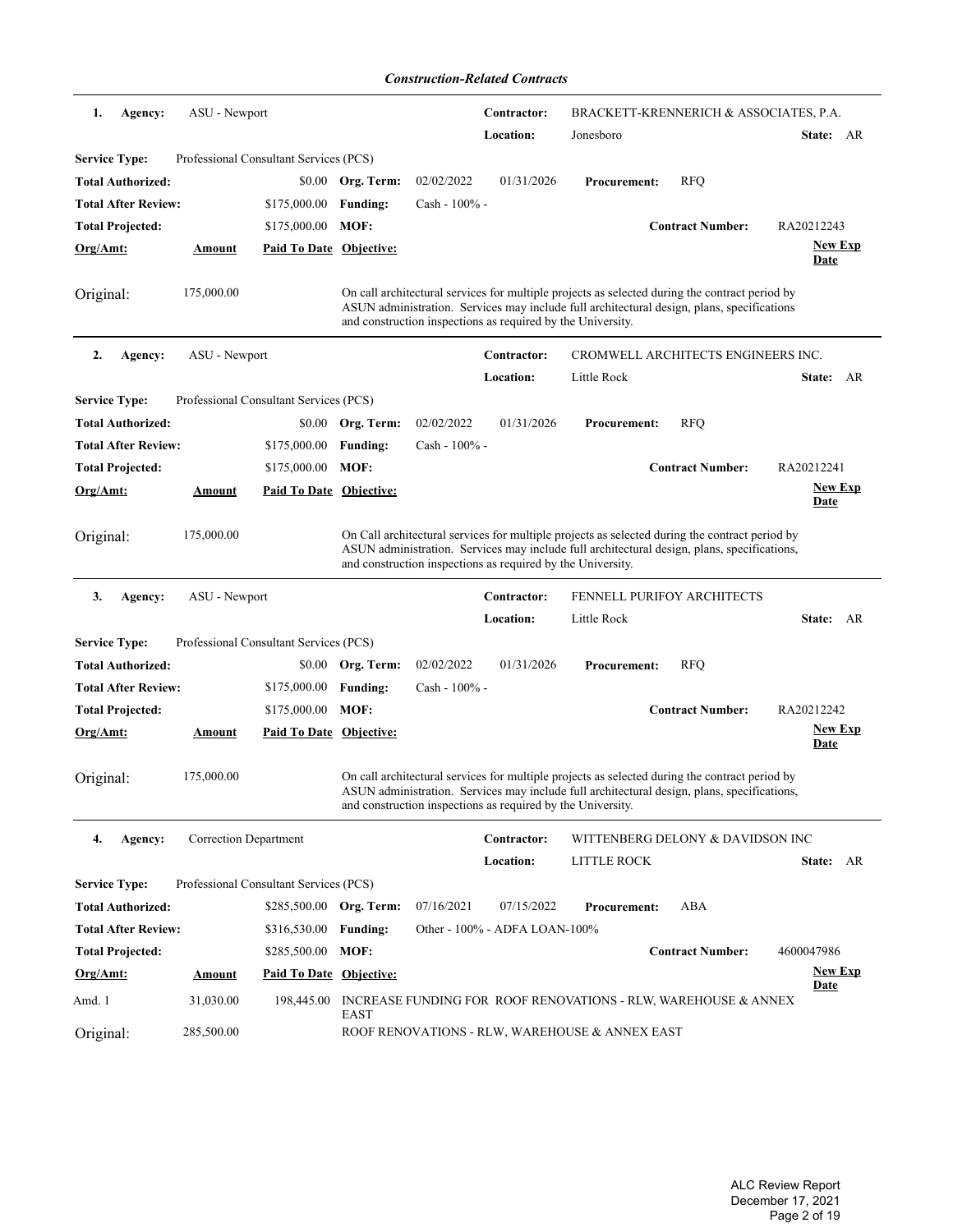*Construction-Related Contracts*

| ASU - Newport<br>1.<br>Agency:                                 |                                | Contractor:                                                 | BRACKETT-KRENNERICH & ASSOCIATES, P.A.                                                                                                                                                        |                        |
|----------------------------------------------------------------|--------------------------------|-------------------------------------------------------------|-----------------------------------------------------------------------------------------------------------------------------------------------------------------------------------------------|------------------------|
|                                                                |                                | Location:                                                   | Jonesboro                                                                                                                                                                                     | State: AR              |
| <b>Service Type:</b><br>Professional Consultant Services (PCS) |                                |                                                             |                                                                                                                                                                                               |                        |
| <b>Total Authorized:</b><br>\$0.00                             | Org. Term:                     | 02/02/2022<br>01/31/2026                                    | <b>Procurement:</b><br><b>RFQ</b>                                                                                                                                                             |                        |
| <b>Total After Review:</b><br>\$175,000.00                     | <b>Funding:</b>                | Cash - 100% -                                               |                                                                                                                                                                                               |                        |
| <b>Total Projected:</b><br>\$175,000.00                        | MOF:                           |                                                             | <b>Contract Number:</b>                                                                                                                                                                       | RA20212243             |
| $Org/Amt$ :<br><u>Amount</u>                                   | Paid To Date Objective:        |                                                             |                                                                                                                                                                                               | <b>New Exp</b>         |
|                                                                |                                |                                                             |                                                                                                                                                                                               | Date                   |
| 175,000.00<br>Original:                                        |                                | and construction inspections as required by the University. | On call architectural services for multiple projects as selected during the contract period by<br>ASUN administration. Services may include full architectural design, plans, specifications  |                        |
| 2.<br>Agency:<br>ASU - Newport                                 |                                | Contractor:                                                 | CROMWELL ARCHITECTS ENGINEERS INC.                                                                                                                                                            |                        |
|                                                                |                                | Location:                                                   | Little Rock                                                                                                                                                                                   | State: AR              |
| <b>Service Type:</b><br>Professional Consultant Services (PCS) |                                |                                                             |                                                                                                                                                                                               |                        |
| <b>Total Authorized:</b><br>\$0.00                             | Org. Term:                     | 02/02/2022<br>01/31/2026                                    | <b>RFQ</b><br><b>Procurement:</b>                                                                                                                                                             |                        |
| <b>Total After Review:</b><br>\$175,000.00                     | <b>Funding:</b>                | $Cash - 100\% -$                                            |                                                                                                                                                                                               |                        |
| <b>Total Projected:</b><br>\$175,000.00                        | MOF:                           |                                                             | <b>Contract Number:</b>                                                                                                                                                                       | RA20212241             |
| Org/Amt:<br><b>Amount</b>                                      | <b>Paid To Date Objective:</b> |                                                             |                                                                                                                                                                                               | <b>New Exp</b>         |
|                                                                |                                |                                                             |                                                                                                                                                                                               | <b>Date</b>            |
| 175,000.00<br>Original:                                        |                                | and construction inspections as required by the University. | On Call architectural services for multiple projects as selected during the contract period by<br>ASUN administration. Services may include full architectural design, plans, specifications, |                        |
| 3.<br>Agency:<br>ASU - Newport                                 |                                | Contractor:                                                 | <b>FENNELL PURIFOY ARCHITECTS</b>                                                                                                                                                             |                        |
|                                                                |                                | <b>Location:</b>                                            | Little Rock                                                                                                                                                                                   | State: AR              |
| <b>Service Type:</b><br>Professional Consultant Services (PCS) |                                |                                                             |                                                                                                                                                                                               |                        |
| <b>Total Authorized:</b>                                       | \$0.00 Org. Term:              | 02/02/2022<br>01/31/2026                                    | <b>Procurement:</b><br><b>RFQ</b>                                                                                                                                                             |                        |
| <b>Total After Review:</b><br>\$175,000.00                     | <b>Funding:</b>                | Cash - 100% -                                               |                                                                                                                                                                                               |                        |
| <b>Total Projected:</b><br>\$175,000.00                        | MOF:                           |                                                             | <b>Contract Number:</b>                                                                                                                                                                       | RA20212242             |
| <u>Org/Amt:</u><br><u>Amount</u>                               | Paid To Date Objective:        |                                                             |                                                                                                                                                                                               | <u>New Exp</u><br>Date |
| 175,000.00<br>Original:                                        |                                | and construction inspections as required by the University. | On call architectural services for multiple projects as selected during the contract period by<br>ASUN administration. Services may include full architectural design, plans, specifications, |                        |
| <b>Correction Department</b><br>4.<br>Agency:                  |                                | Contractor:                                                 | WITTENBERG DELONY & DAVIDSON INC                                                                                                                                                              |                        |
|                                                                |                                | Location:                                                   | LITTLE ROCK                                                                                                                                                                                   | State: AR              |
| <b>Service Type:</b><br>Professional Consultant Services (PCS) |                                |                                                             |                                                                                                                                                                                               |                        |
| <b>Total Authorized:</b>                                       | \$285,500.00 Org. Term:        | 07/16/2021<br>07/15/2022                                    | ABA<br><b>Procurement:</b>                                                                                                                                                                    |                        |
| <b>Total After Review:</b><br>\$316,530.00                     | <b>Funding:</b>                | Other - 100% - ADFA LOAN-100%                               |                                                                                                                                                                                               |                        |
| <b>Total Projected:</b><br>\$285,500.00                        | $MOF$ :                        |                                                             | <b>Contract Number:</b>                                                                                                                                                                       | 4600047986             |
|                                                                |                                |                                                             |                                                                                                                                                                                               |                        |
| Org/Amt:<br>Amount                                             | <b>Paid To Date Objective:</b> |                                                             |                                                                                                                                                                                               | <b>New Exp</b>         |
| Amd. 1<br>31,030.00<br>198,445.00                              |                                |                                                             | INCREASE FUNDING FOR ROOF RENOVATIONS - RLW, WAREHOUSE & ANNEX                                                                                                                                | Date                   |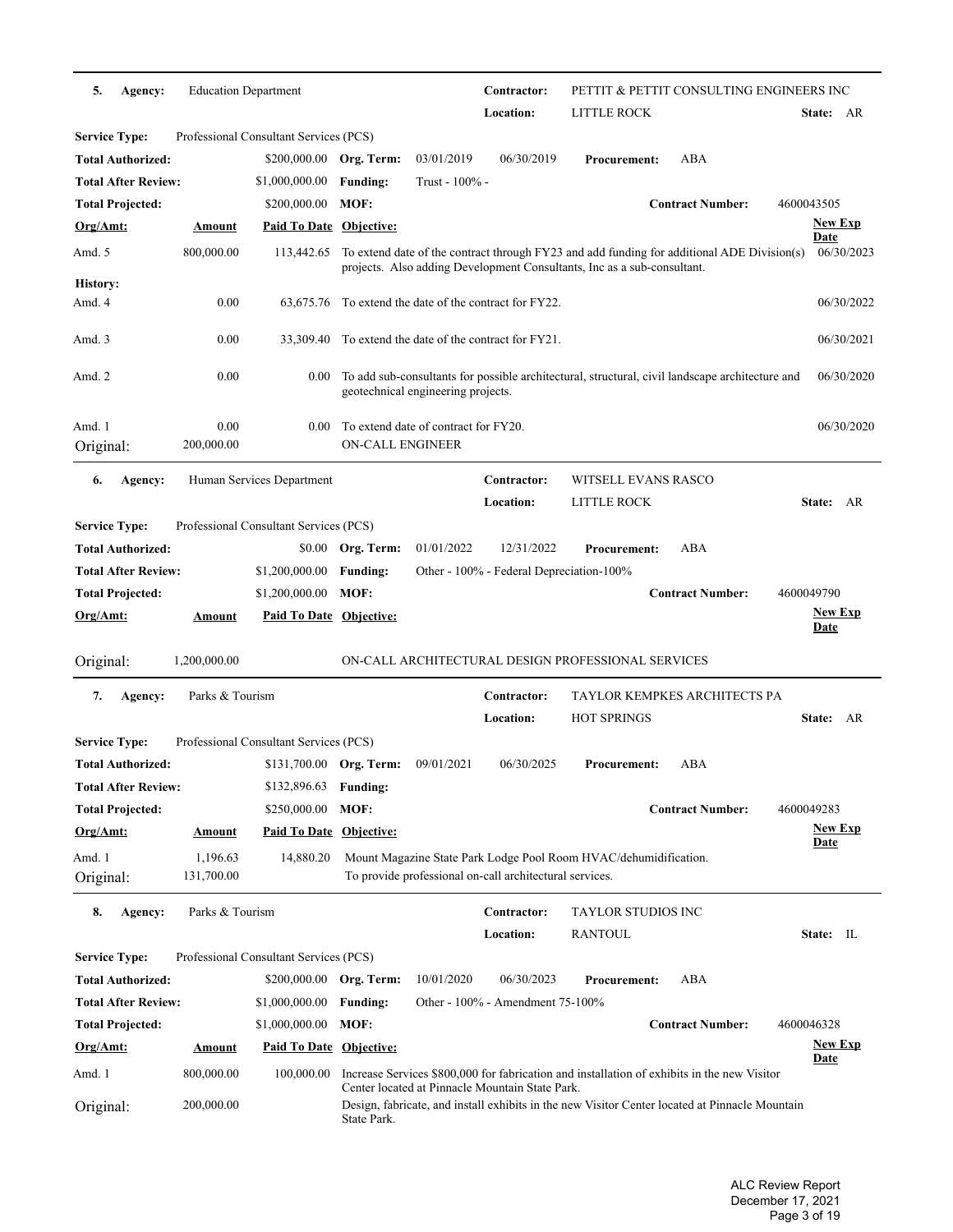| 5.                   | Agency:                    | <b>Education Department</b> |                                              |                         |                                      | Contractor:                                             | PETTIT & PETTIT CONSULTING ENGINEERS INC                                                                                                                              |                         |                               |
|----------------------|----------------------------|-----------------------------|----------------------------------------------|-------------------------|--------------------------------------|---------------------------------------------------------|-----------------------------------------------------------------------------------------------------------------------------------------------------------------------|-------------------------|-------------------------------|
|                      |                            |                             |                                              |                         |                                      | Location:                                               | LITTLE ROCK                                                                                                                                                           |                         | State: AR                     |
| <b>Service Type:</b> |                            |                             | Professional Consultant Services (PCS)       |                         |                                      |                                                         |                                                                                                                                                                       |                         |                               |
|                      | <b>Total Authorized:</b>   |                             | \$200,000.00 Org. Term:                      |                         | 03/01/2019                           | 06/30/2019                                              | <b>Procurement:</b>                                                                                                                                                   | ABA                     |                               |
|                      | Total After Review:        |                             | \$1,000,000.00                               | <b>Funding:</b>         | Trust - 100% -                       |                                                         |                                                                                                                                                                       |                         |                               |
|                      | <b>Total Projected:</b>    |                             | \$200,000.00                                 | MOF:                    |                                      |                                                         |                                                                                                                                                                       | <b>Contract Number:</b> | 4600043505                    |
| Org/Amt:             |                            | Amount                      | <b>Paid To Date Objective:</b>               |                         |                                      |                                                         |                                                                                                                                                                       |                         | <b>New Exp</b><br><b>Date</b> |
| Amd. 5               |                            | 800,000.00                  | 113,442.65                                   |                         |                                      |                                                         | To extend date of the contract through FY23 and add funding for additional ADE Division(s)<br>projects. Also adding Development Consultants, Inc as a sub-consultant. |                         | 06/30/2023                    |
| History:             |                            |                             |                                              |                         |                                      |                                                         |                                                                                                                                                                       |                         |                               |
| Amd. 4               |                            | 0.00                        |                                              |                         |                                      | 63,675.76 To extend the date of the contract for FY22.  |                                                                                                                                                                       |                         | 06/30/2022                    |
| Amd. 3               |                            | 0.00                        |                                              |                         |                                      | 33,309.40 To extend the date of the contract for FY21.  |                                                                                                                                                                       |                         | 06/30/2021                    |
| Amd. 2               |                            | 0.00                        | 0.00                                         |                         | geotechnical engineering projects.   |                                                         | To add sub-consultants for possible architectural, structural, civil landscape architecture and                                                                       |                         | 06/30/2020                    |
| Amd. 1<br>Original:  |                            | 0.00<br>200,000.00          | 0.00                                         | ON-CALL ENGINEER        | To extend date of contract for FY20. |                                                         |                                                                                                                                                                       |                         | 06/30/2020                    |
| 6.                   | Agency:                    |                             | Human Services Department                    |                         |                                      | Contractor:                                             | <b>WITSELL EVANS RASCO</b>                                                                                                                                            |                         |                               |
|                      |                            |                             |                                              |                         |                                      | Location:                                               | LITTLE ROCK                                                                                                                                                           |                         | State: AR                     |
| <b>Service Type:</b> |                            |                             | Professional Consultant Services (PCS)       |                         |                                      |                                                         |                                                                                                                                                                       |                         |                               |
|                      | <b>Total Authorized:</b>   |                             |                                              | \$0.00 Org. Term:       | 01/01/2022                           | 12/31/2022                                              | <b>Procurement:</b>                                                                                                                                                   | ABA                     |                               |
|                      | Total After Review:        |                             | \$1,200,000.00                               | <b>Funding:</b>         |                                      | Other - 100% - Federal Depreciation-100%                |                                                                                                                                                                       |                         |                               |
|                      | <b>Total Projected:</b>    |                             | \$1,200,000.00                               | MOF:                    |                                      |                                                         |                                                                                                                                                                       | <b>Contract Number:</b> | 4600049790                    |
|                      |                            |                             |                                              |                         |                                      |                                                         |                                                                                                                                                                       |                         |                               |
| Org/Amt:             |                            | Amount                      | <b>Paid To Date Objective:</b>               |                         |                                      |                                                         |                                                                                                                                                                       |                         | <b>New Exp</b><br><b>Date</b> |
| Original:            |                            | 1,200,000.00                |                                              |                         |                                      |                                                         | ON-CALL ARCHITECTURAL DESIGN PROFESSIONAL SERVICES                                                                                                                    |                         |                               |
| 7.                   |                            | Parks & Tourism             |                                              |                         |                                      | Contractor:                                             | TAYLOR KEMPKES ARCHITECTS PA                                                                                                                                          |                         |                               |
|                      | Agency:                    |                             |                                              |                         |                                      | Location:                                               | <b>HOT SPRINGS</b>                                                                                                                                                    |                         | State: AR                     |
|                      |                            |                             | Professional Consultant Services (PCS)       |                         |                                      |                                                         |                                                                                                                                                                       |                         |                               |
| <b>Service Type:</b> | Total Authorized:          |                             |                                              |                         | 09/01/2021                           | 06/30/2025                                              | <b>Procurement:</b>                                                                                                                                                   | ABA                     |                               |
|                      | Total After Review:        |                             | \$131,700.00 Org. Term:                      |                         |                                      |                                                         |                                                                                                                                                                       |                         |                               |
|                      |                            |                             | \$132,896.63                                 | <b>Funding:</b><br>MOF: |                                      |                                                         |                                                                                                                                                                       |                         |                               |
| Org/Amt:             | <b>Total Projected:</b>    |                             | \$250,000.00                                 |                         |                                      |                                                         |                                                                                                                                                                       | <b>Contract Number:</b> | 4600049283<br><b>New Exp</b>  |
|                      |                            | <b>Amount</b>               | Paid To Date Objective:                      |                         |                                      |                                                         |                                                                                                                                                                       |                         | <u>Date</u>                   |
| Amd. 1<br>Original:  |                            | 1,196.63<br>131,700.00      | 14,880.20                                    |                         |                                      | To provide professional on-call architectural services. | Mount Magazine State Park Lodge Pool Room HVAC/dehumidification.                                                                                                      |                         |                               |
| 8.                   | Agency:                    | Parks & Tourism             |                                              |                         |                                      | Contractor:                                             | <b>TAYLOR STUDIOS INC</b>                                                                                                                                             |                         |                               |
|                      |                            |                             |                                              |                         |                                      | Location:                                               | <b>RANTOUL</b>                                                                                                                                                        |                         | State: IL                     |
| <b>Service Type:</b> |                            |                             | Professional Consultant Services (PCS)       |                         |                                      |                                                         |                                                                                                                                                                       |                         |                               |
|                      | <b>Total Authorized:</b>   |                             | \$200,000.00                                 | Org. Term:              | 10/01/2020                           | 06/30/2023                                              | <b>Procurement:</b>                                                                                                                                                   | ABA                     |                               |
|                      | <b>Total After Review:</b> |                             | \$1,000,000.00                               | <b>Funding:</b>         |                                      | Other - 100% - Amendment 75-100%                        |                                                                                                                                                                       |                         |                               |
|                      | <b>Total Projected:</b>    |                             | \$1,000,000.00                               | MOF:                    |                                      |                                                         |                                                                                                                                                                       | <b>Contract Number:</b> | 4600046328                    |
| <u>Org/Amt:</u>      |                            | <b>Amount</b>               |                                              |                         |                                      |                                                         |                                                                                                                                                                       |                         | <b>New Exp</b>                |
| Amd. 1               |                            | 800,000.00                  | <b>Paid To Date Objective:</b><br>100,000.00 |                         |                                      | Center located at Pinnacle Mountain State Park.         | Increase Services \$800,000 for fabrication and installation of exhibits in the new Visitor                                                                           |                         | <u>Date</u>                   |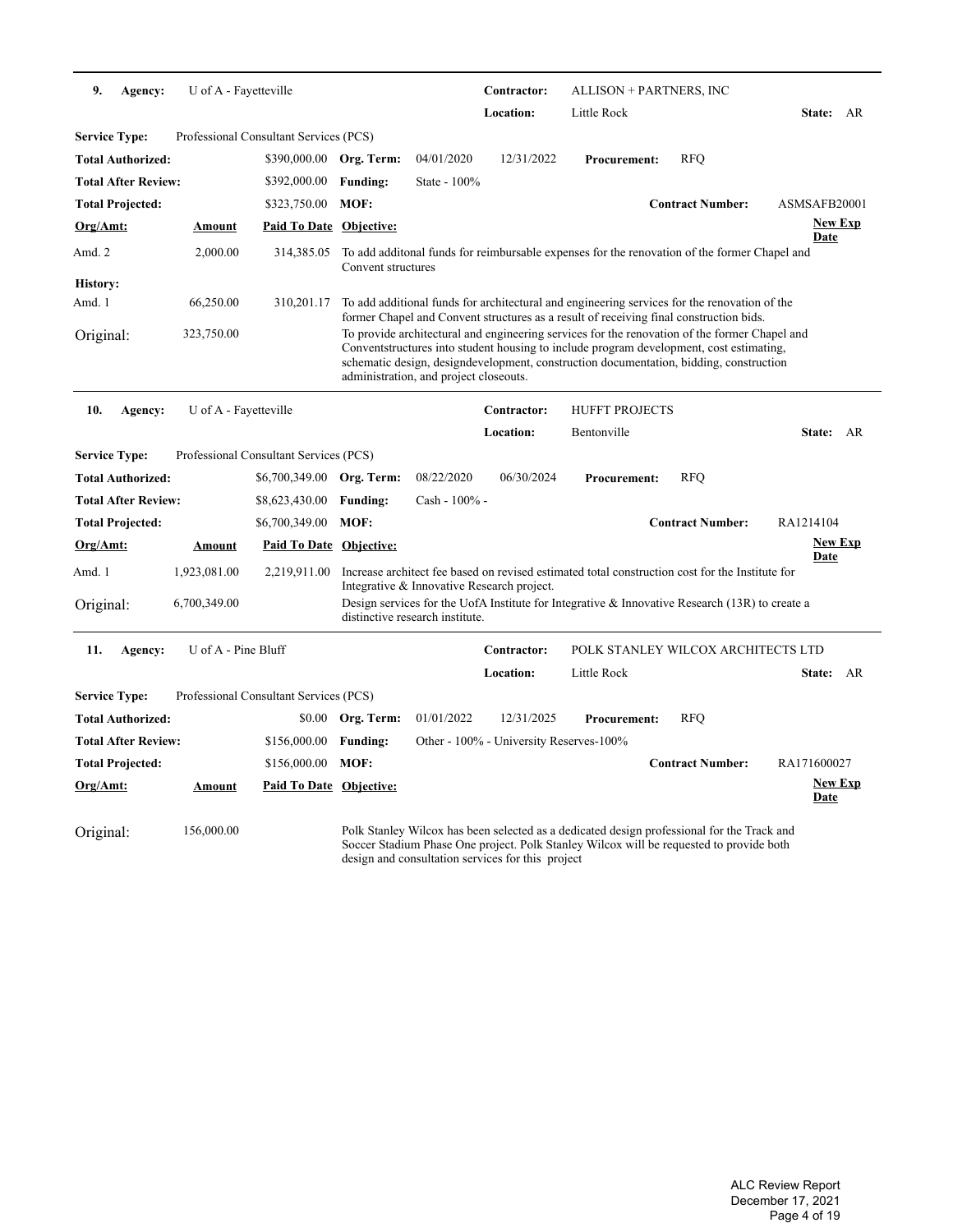| 9.                   | Agency:                    | U of A - Fayetteville |                                        |                    |                                            | Contractor:                                       | ALLISON + PARTNERS, INC                                                                                                                                                                                                                                                            |                         |                               |  |
|----------------------|----------------------------|-----------------------|----------------------------------------|--------------------|--------------------------------------------|---------------------------------------------------|------------------------------------------------------------------------------------------------------------------------------------------------------------------------------------------------------------------------------------------------------------------------------------|-------------------------|-------------------------------|--|
|                      |                            |                       |                                        |                    |                                            | Location:                                         | Little Rock                                                                                                                                                                                                                                                                        |                         | State: AR                     |  |
| <b>Service Type:</b> |                            |                       | Professional Consultant Services (PCS) |                    |                                            |                                                   |                                                                                                                                                                                                                                                                                    |                         |                               |  |
|                      | <b>Total Authorized:</b>   |                       | \$390,000.00                           | Org. Term:         | 04/01/2020                                 | 12/31/2022                                        | <b>Procurement:</b>                                                                                                                                                                                                                                                                | <b>RFO</b>              |                               |  |
|                      | <b>Total After Review:</b> |                       | \$392,000.00                           | <b>Funding:</b>    | State - 100%                               |                                                   |                                                                                                                                                                                                                                                                                    |                         |                               |  |
|                      | <b>Total Projected:</b>    |                       | \$323,750.00                           | MOF:               |                                            |                                                   |                                                                                                                                                                                                                                                                                    | <b>Contract Number:</b> | ASMSAFB20001                  |  |
| Org/Amt:             |                            | <b>Amount</b>         | Paid To Date Objective:                |                    |                                            |                                                   |                                                                                                                                                                                                                                                                                    |                         | <b>New Exp</b><br><b>Date</b> |  |
| Amd. 2               |                            | 2,000.00              | 314,385.05                             | Convent structures |                                            |                                                   | To add additional funds for reimbursable expenses for the renovation of the former Chapel and                                                                                                                                                                                      |                         |                               |  |
| <b>History:</b>      |                            |                       |                                        |                    |                                            |                                                   |                                                                                                                                                                                                                                                                                    |                         |                               |  |
| Amd. 1               |                            | 66,250.00             | 310,201.17                             |                    |                                            |                                                   | To add additional funds for architectural and engineering services for the renovation of the<br>former Chapel and Convent structures as a result of receiving final construction bids.                                                                                             |                         |                               |  |
| Original:            |                            | 323,750.00            |                                        |                    | administration, and project closeouts.     |                                                   | To provide architectural and engineering services for the renovation of the former Chapel and<br>Conventstructures into student housing to include program development, cost estimating,<br>schematic design, designdevelopment, construction documentation, bidding, construction |                         |                               |  |
| 10.                  | Agency:                    | U of A - Fayetteville |                                        |                    |                                            | Contractor:                                       | <b>HUFFT PROJECTS</b>                                                                                                                                                                                                                                                              |                         |                               |  |
|                      |                            |                       |                                        |                    |                                            | Location:                                         | Bentonville                                                                                                                                                                                                                                                                        |                         | State: AR                     |  |
| <b>Service Type:</b> |                            |                       | Professional Consultant Services (PCS) |                    |                                            |                                                   |                                                                                                                                                                                                                                                                                    |                         |                               |  |
|                      | <b>Total Authorized:</b>   |                       | \$6,700,349.00                         | Org. Term:         | 08/22/2020                                 | 06/30/2024                                        | <b>Procurement:</b>                                                                                                                                                                                                                                                                | <b>RFO</b>              |                               |  |
|                      | <b>Total After Review:</b> |                       | \$8,623,430.00                         | <b>Funding:</b>    | Cash - 100% -                              |                                                   |                                                                                                                                                                                                                                                                                    |                         |                               |  |
|                      | <b>Total Projected:</b>    |                       | \$6,700,349.00                         | MOF:               |                                            |                                                   |                                                                                                                                                                                                                                                                                    | <b>Contract Number:</b> | RA1214104                     |  |
| Org/Amt:             |                            | Amount                | Paid To Date Objective:                |                    |                                            |                                                   |                                                                                                                                                                                                                                                                                    |                         | <b>New Exp</b><br>Date        |  |
| Amd. 1               |                            | 1,923,081.00          | 2,219,911.00                           |                    | Integrative & Innovative Research project. |                                                   | Increase architect fee based on revised estimated total construction cost for the Institute for                                                                                                                                                                                    |                         |                               |  |
| Original:            |                            | 6,700,349.00          |                                        |                    | distinctive research institute.            |                                                   | Design services for the UofA Institute for Integrative & Innovative Research $(13R)$ to create a                                                                                                                                                                                   |                         |                               |  |
| 11.                  | Agency:                    | U of A - Pine Bluff   |                                        |                    |                                            | Contractor:                                       | POLK STANLEY WILCOX ARCHITECTS LTD                                                                                                                                                                                                                                                 |                         |                               |  |
|                      |                            |                       |                                        |                    |                                            | Location:                                         | Little Rock                                                                                                                                                                                                                                                                        |                         | State: AR                     |  |
| <b>Service Type:</b> |                            |                       | Professional Consultant Services (PCS) |                    |                                            |                                                   |                                                                                                                                                                                                                                                                                    |                         |                               |  |
|                      | <b>Total Authorized:</b>   |                       | \$0.00                                 | Org. Term:         | 01/01/2022                                 | 12/31/2025                                        | <b>Procurement:</b>                                                                                                                                                                                                                                                                | <b>RFQ</b>              |                               |  |
|                      | <b>Total After Review:</b> |                       | \$156,000.00                           | <b>Funding:</b>    |                                            | Other - 100% - University Reserves-100%           |                                                                                                                                                                                                                                                                                    |                         |                               |  |
|                      | <b>Total Projected:</b>    |                       | \$156,000.00                           | MOF:               |                                            |                                                   |                                                                                                                                                                                                                                                                                    | <b>Contract Number:</b> | RA171600027                   |  |
| Org/Amt:             |                            | <u>Amount</u>         | <b>Paid To Date Objective:</b>         |                    |                                            |                                                   |                                                                                                                                                                                                                                                                                    |                         | <b>New Exp</b><br>Date        |  |
| Original:            |                            | 156,000.00            |                                        |                    |                                            | design and consultation services for this project | Polk Stanley Wilcox has been selected as a dedicated design professional for the Track and<br>Soccer Stadium Phase One project. Polk Stanley Wilcox will be requested to provide both                                                                                              |                         |                               |  |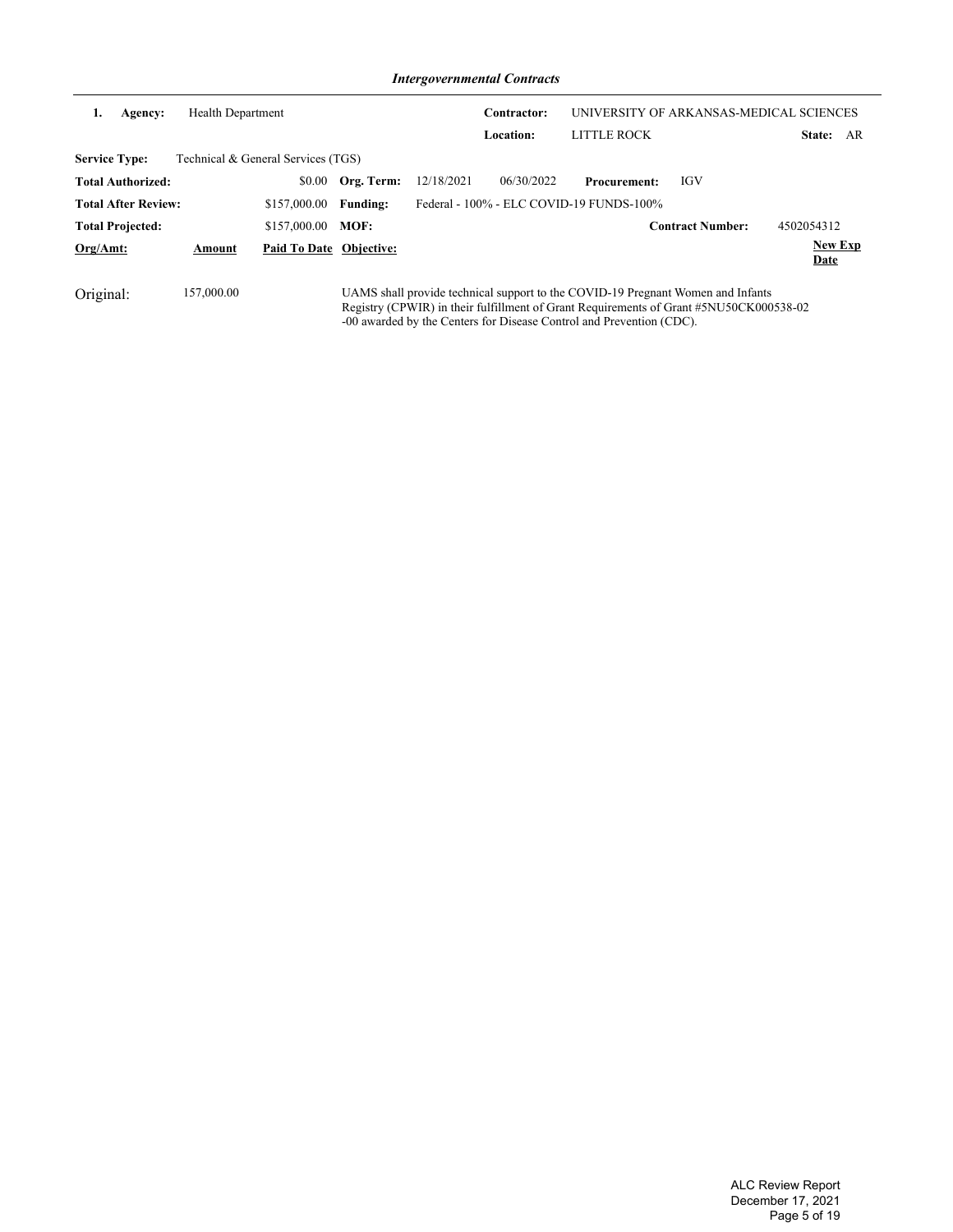*Intergovernmental Contracts*

| 1.<br>Agency:              | <b>Health Department</b> |                                    |                 |            | Contractor:<br>Location: | LITTLE ROCK                              |                                                                                                                                                                           | UNIVERSITY OF ARKANSAS-MEDICAL SCIENCES<br>AR<br>State: |
|----------------------------|--------------------------|------------------------------------|-----------------|------------|--------------------------|------------------------------------------|---------------------------------------------------------------------------------------------------------------------------------------------------------------------------|---------------------------------------------------------|
| <b>Service Type:</b>       |                          | Technical & General Services (TGS) |                 |            |                          |                                          |                                                                                                                                                                           |                                                         |
| <b>Total Authorized:</b>   |                          | \$0.00                             | Org. Term:      | 12/18/2021 | 06/30/2022               | <b>Procurement:</b>                      | IGV                                                                                                                                                                       |                                                         |
| <b>Total After Review:</b> |                          | \$157,000.00                       | <b>Funding:</b> |            |                          | Federal - 100% - ELC COVID-19 FUNDS-100% |                                                                                                                                                                           |                                                         |
| <b>Total Projected:</b>    |                          | \$157,000.00                       | MOF:            |            |                          |                                          | <b>Contract Number:</b>                                                                                                                                                   | 4502054312                                              |
| $Org/Amt$ :                | Amount                   | Paid To Date Objective:            |                 |            |                          |                                          |                                                                                                                                                                           | <b>New Exp</b><br>Date                                  |
| Original:                  | 157,000.00               |                                    |                 |            |                          |                                          | UAMS shall provide technical support to the COVID-19 Pregnant Women and Infants<br>Registry (CPWIR) in their fulfillment of Grant Requirements of Grant #5NU50CK000538-02 |                                                         |

-00 awarded by the Centers for Disease Control and Prevention (CDC).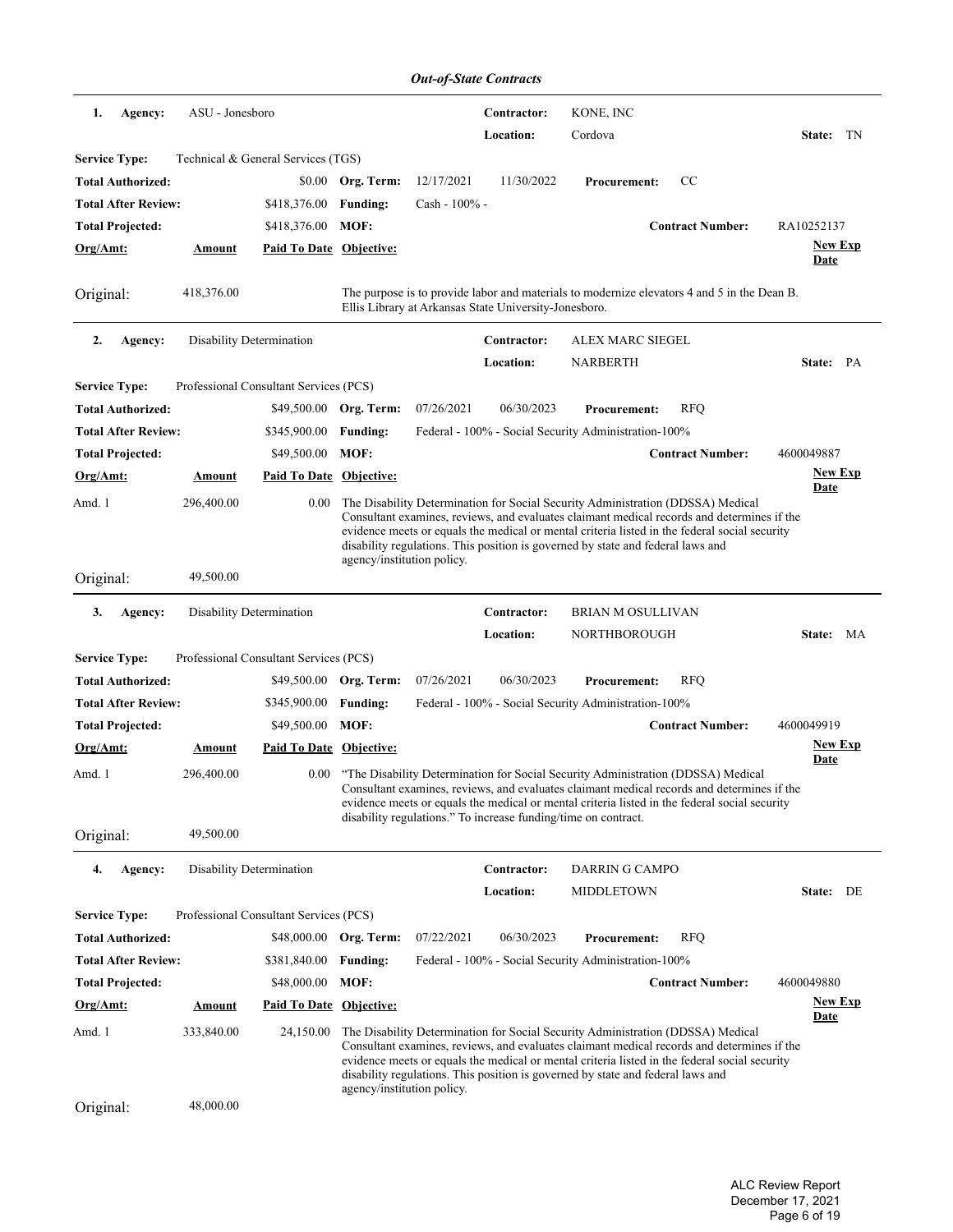|                            |                 |                                        |                            | <b>Out-of-State Contracts</b> |                                                       |                                                                                 |                                                                                                                                                                                                                                                                                 |                        |
|----------------------------|-----------------|----------------------------------------|----------------------------|-------------------------------|-------------------------------------------------------|---------------------------------------------------------------------------------|---------------------------------------------------------------------------------------------------------------------------------------------------------------------------------------------------------------------------------------------------------------------------------|------------------------|
| 1.<br>Agency:              | ASU - Jonesboro |                                        |                            |                               | Contractor:                                           | KONE, INC                                                                       |                                                                                                                                                                                                                                                                                 |                        |
|                            |                 |                                        |                            |                               | Location:                                             | Cordova                                                                         |                                                                                                                                                                                                                                                                                 | State:<br>TN           |
| <b>Service Type:</b>       |                 | Technical & General Services (TGS)     |                            |                               |                                                       |                                                                                 |                                                                                                                                                                                                                                                                                 |                        |
| <b>Total Authorized:</b>   |                 | \$0.00                                 | Org. Term:                 | 12/17/2021                    | 11/30/2022                                            | <b>Procurement:</b>                                                             | CC                                                                                                                                                                                                                                                                              |                        |
| <b>Total After Review:</b> |                 | \$418,376.00                           | <b>Funding:</b>            | Cash - 100% -                 |                                                       |                                                                                 |                                                                                                                                                                                                                                                                                 |                        |
| <b>Total Projected:</b>    |                 | \$418,376.00                           | MOF:                       |                               |                                                       |                                                                                 | <b>Contract Number:</b>                                                                                                                                                                                                                                                         | RA10252137             |
| Org/Amt:                   | <b>Amount</b>   | Paid To Date Objective:                |                            |                               |                                                       |                                                                                 |                                                                                                                                                                                                                                                                                 | <u>New Exp</u><br>Date |
| Original:                  | 418,376.00      |                                        |                            |                               | Ellis Library at Arkansas State University-Jonesboro. |                                                                                 | The purpose is to provide labor and materials to modernize elevators 4 and 5 in the Dean B.                                                                                                                                                                                     |                        |
| 2.<br>Agency:              |                 | <b>Disability Determination</b>        |                            |                               | Contractor:                                           | <b>ALEX MARC SIEGEL</b>                                                         |                                                                                                                                                                                                                                                                                 |                        |
|                            |                 |                                        |                            |                               | <b>Location:</b>                                      | <b>NARBERTH</b>                                                                 |                                                                                                                                                                                                                                                                                 | State: PA              |
| <b>Service Type:</b>       |                 | Professional Consultant Services (PCS) |                            |                               |                                                       |                                                                                 |                                                                                                                                                                                                                                                                                 |                        |
| <b>Total Authorized:</b>   |                 | \$49,500.00                            | Org. Term:                 | 07/26/2021                    | 06/30/2023                                            | <b>Procurement:</b>                                                             | <b>RFQ</b>                                                                                                                                                                                                                                                                      |                        |
| <b>Total After Review:</b> |                 | \$345,900.00                           | <b>Funding:</b>            |                               |                                                       | Federal - 100% - Social Security Administration-100%                            |                                                                                                                                                                                                                                                                                 |                        |
| <b>Total Projected:</b>    |                 | \$49,500.00                            | MOF:                       |                               |                                                       |                                                                                 | <b>Contract Number:</b>                                                                                                                                                                                                                                                         | 4600049887             |
| Org/Amt:                   | <b>Amount</b>   | Paid To Date Objective:                |                            |                               |                                                       |                                                                                 |                                                                                                                                                                                                                                                                                 | <b>New Exp</b>         |
| Amd. 1                     | 296,400.00      | 0.00                                   | agency/institution policy. |                               |                                                       | disability regulations. This position is governed by state and federal laws and | The Disability Determination for Social Security Administration (DDSSA) Medical<br>Consultant examines, reviews, and evaluates claimant medical records and determines if the<br>evidence meets or equals the medical or mental criteria listed in the federal social security  | <b>Date</b>            |
| Original:                  | 49,500.00       |                                        |                            |                               |                                                       |                                                                                 |                                                                                                                                                                                                                                                                                 |                        |
| 3.<br>Agency:              |                 | Disability Determination               |                            |                               | Contractor:<br>Location:                              | <b>BRIAN M OSULLIVAN</b><br>NORTHBOROUGH                                        |                                                                                                                                                                                                                                                                                 | <b>State:</b><br>MA    |
| <b>Service Type:</b>       |                 | Professional Consultant Services (PCS) |                            |                               |                                                       |                                                                                 |                                                                                                                                                                                                                                                                                 |                        |
| <b>Total Authorized:</b>   |                 |                                        | \$49,500.00 Org. Term:     | 07/26/2021                    | 06/30/2023                                            | <b>Procurement:</b>                                                             | <b>RFQ</b>                                                                                                                                                                                                                                                                      |                        |
| <b>Total After Review:</b> |                 | \$345,900.00                           | <b>Funding:</b>            |                               |                                                       | Federal - 100% - Social Security Administration-100%                            |                                                                                                                                                                                                                                                                                 |                        |
| <b>Total Projected:</b>    |                 | \$49,500.00                            | MOF:                       |                               |                                                       |                                                                                 | <b>Contract Number:</b>                                                                                                                                                                                                                                                         | 4600049919             |
| Org/Amt:                   | Amount          | Paid To Date Objective:                |                            |                               |                                                       |                                                                                 |                                                                                                                                                                                                                                                                                 | <b>New Exp</b>         |
| Amd. 1                     | 296,400.00      | 0.00                                   |                            |                               |                                                       | disability regulations." To increase funding/time on contract.                  | "The Disability Determination for Social Security Administration (DDSSA) Medical<br>Consultant examines, reviews, and evaluates claimant medical records and determines if the<br>evidence meets or equals the medical or mental criteria listed in the federal social security | <b>Date</b>            |
| Original:                  | 49,500.00       |                                        |                            |                               |                                                       |                                                                                 |                                                                                                                                                                                                                                                                                 |                        |
| Agency:<br>4.              |                 | <b>Disability Determination</b>        |                            |                               | Contractor:                                           | DARRIN G CAMPO                                                                  |                                                                                                                                                                                                                                                                                 |                        |
|                            |                 |                                        |                            |                               | Location:                                             | <b>MIDDLETOWN</b>                                                               |                                                                                                                                                                                                                                                                                 | State: DE              |
| <b>Service Type:</b>       |                 | Professional Consultant Services (PCS) |                            |                               |                                                       |                                                                                 |                                                                                                                                                                                                                                                                                 |                        |
| <b>Total Authorized:</b>   |                 |                                        | \$48,000.00 Org. Term:     | 07/22/2021                    | 06/30/2023                                            | <b>Procurement:</b>                                                             | <b>RFQ</b>                                                                                                                                                                                                                                                                      |                        |
| <b>Total After Review:</b> |                 | \$381,840.00                           | <b>Funding:</b>            |                               |                                                       | Federal - 100% - Social Security Administration-100%                            |                                                                                                                                                                                                                                                                                 |                        |
| Total Projected:           |                 | \$48,000.00                            | MOF:                       |                               |                                                       |                                                                                 | <b>Contract Number:</b>                                                                                                                                                                                                                                                         | 4600049880             |
| <u>Org/Amt:</u>            | <b>Amount</b>   | <b>Paid To Date Objective:</b>         |                            |                               |                                                       |                                                                                 |                                                                                                                                                                                                                                                                                 | <b>New Exp</b>         |
| Amd. 1                     | 333,840.00      | 24,150.00                              | agency/institution policy. |                               |                                                       | disability regulations. This position is governed by state and federal laws and | The Disability Determination for Social Security Administration (DDSSA) Medical<br>Consultant examines, reviews, and evaluates claimant medical records and determines if the<br>evidence meets or equals the medical or mental criteria listed in the federal social security  | <u>Date</u>            |
| Original:                  | 48,000.00       |                                        |                            |                               |                                                       |                                                                                 |                                                                                                                                                                                                                                                                                 |                        |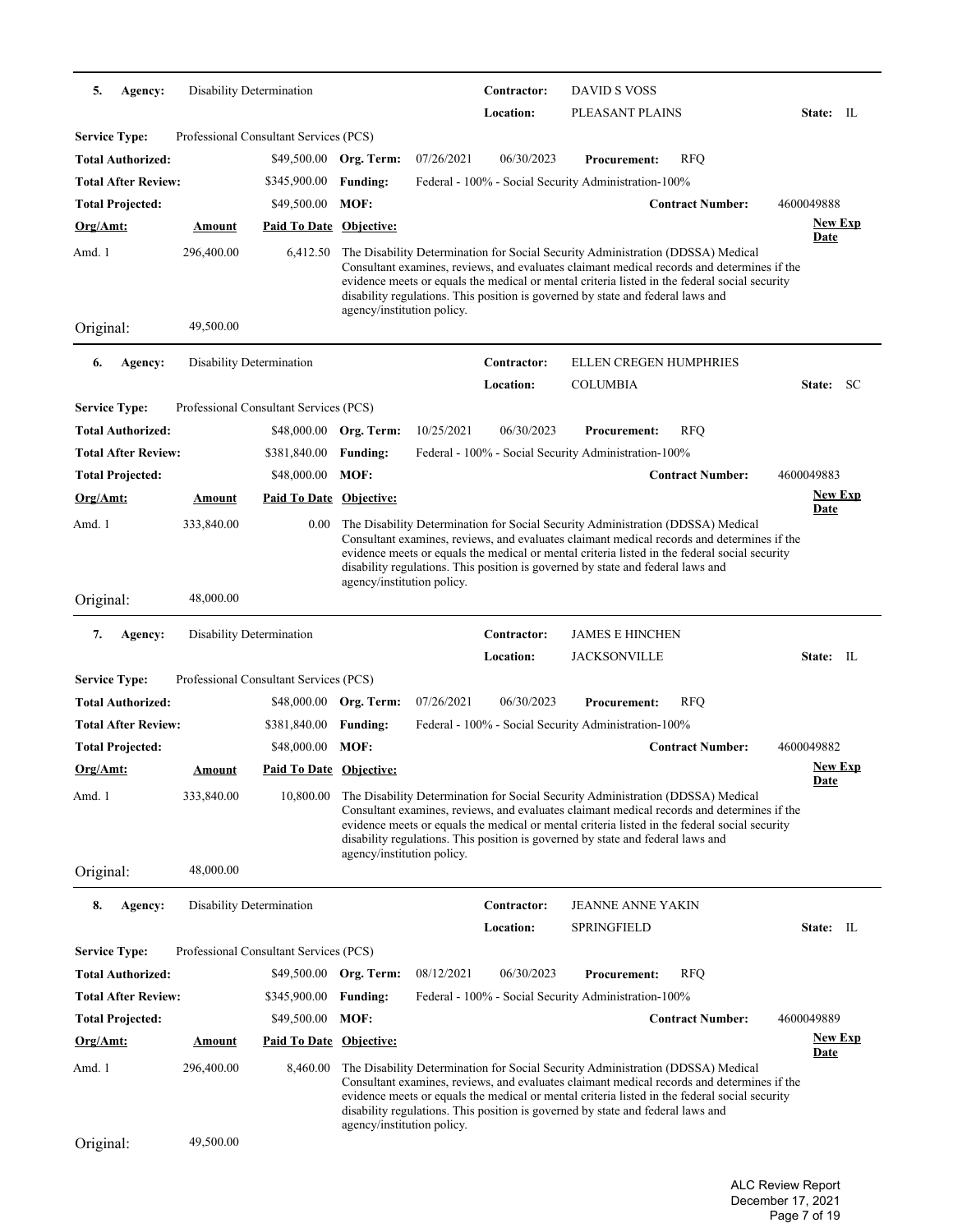| 5.<br>Agency:              | Disability Determination |                                        |                            |            | Contractor: | <b>DAVID S VOSS</b>                                                                                                                                                                                                                                                                                                                                               |                         |                              |
|----------------------------|--------------------------|----------------------------------------|----------------------------|------------|-------------|-------------------------------------------------------------------------------------------------------------------------------------------------------------------------------------------------------------------------------------------------------------------------------------------------------------------------------------------------------------------|-------------------------|------------------------------|
|                            |                          |                                        |                            |            | Location:   | PLEASANT PLAINS                                                                                                                                                                                                                                                                                                                                                   |                         | State: IL                    |
| <b>Service Type:</b>       |                          | Professional Consultant Services (PCS) |                            |            |             |                                                                                                                                                                                                                                                                                                                                                                   |                         |                              |
| Total Authorized:          |                          |                                        | \$49,500.00 Org. Term:     | 07/26/2021 | 06/30/2023  | <b>Procurement:</b>                                                                                                                                                                                                                                                                                                                                               | <b>RFQ</b>              |                              |
| <b>Total After Review:</b> |                          | \$345,900.00                           | <b>Funding:</b>            |            |             | Federal - 100% - Social Security Administration-100%                                                                                                                                                                                                                                                                                                              |                         |                              |
| <b>Total Projected:</b>    |                          | \$49,500.00                            | MOF:                       |            |             |                                                                                                                                                                                                                                                                                                                                                                   | <b>Contract Number:</b> | 4600049888                   |
| <u>Org/Amt:</u>            | <b>Amount</b>            | <u>Paid To Date</u>                    | Objective:                 |            |             |                                                                                                                                                                                                                                                                                                                                                                   |                         | <b>New Exp</b>               |
| Amd. 1                     | 296,400.00               | 6,412.50                               |                            |            |             | The Disability Determination for Social Security Administration (DDSSA) Medical                                                                                                                                                                                                                                                                                   |                         | <b>Date</b>                  |
|                            |                          |                                        | agency/institution policy. |            |             | Consultant examines, reviews, and evaluates claimant medical records and determines if the<br>evidence meets or equals the medical or mental criteria listed in the federal social security<br>disability regulations. This position is governed by state and federal laws and                                                                                    |                         |                              |
| Original:                  | 49,500.00                |                                        |                            |            |             |                                                                                                                                                                                                                                                                                                                                                                   |                         |                              |
| Agency:<br>6.              | Disability Determination |                                        |                            |            | Contractor: | <b>ELLEN CREGEN HUMPHRIES</b>                                                                                                                                                                                                                                                                                                                                     |                         |                              |
|                            |                          |                                        |                            |            | Location:   | COLUMBIA                                                                                                                                                                                                                                                                                                                                                          |                         | State: SC                    |
| <b>Service Type:</b>       |                          | Professional Consultant Services (PCS) |                            |            |             |                                                                                                                                                                                                                                                                                                                                                                   |                         |                              |
| <b>Total Authorized:</b>   |                          | \$48,000.00                            | Org. Term:                 | 10/25/2021 | 06/30/2023  | <b>Procurement:</b>                                                                                                                                                                                                                                                                                                                                               | <b>RFQ</b>              |                              |
| <b>Total After Review:</b> |                          | \$381,840.00                           | <b>Funding:</b>            |            |             | Federal - 100% - Social Security Administration-100%                                                                                                                                                                                                                                                                                                              |                         |                              |
| <b>Total Projected:</b>    |                          | \$48,000.00                            | MOF:                       |            |             |                                                                                                                                                                                                                                                                                                                                                                   | <b>Contract Number:</b> | 4600049883                   |
| Org/Amt:                   | <u>Amount</u>            | Paid To Date Objective:                |                            |            |             |                                                                                                                                                                                                                                                                                                                                                                   |                         | <u>New Exp</u>               |
| Amd. 1                     | 333,840.00               | 0.00                                   | agency/institution policy. |            |             | The Disability Determination for Social Security Administration (DDSSA) Medical<br>Consultant examines, reviews, and evaluates claimant medical records and determines if the<br>evidence meets or equals the medical or mental criteria listed in the federal social security<br>disability regulations. This position is governed by state and federal laws and |                         | <b>Date</b>                  |
| Original:                  | 48,000.00                |                                        |                            |            |             |                                                                                                                                                                                                                                                                                                                                                                   |                         |                              |
| 7.<br>Agency:              | Disability Determination |                                        |                            |            | Contractor: | <b>JAMES E HINCHEN</b>                                                                                                                                                                                                                                                                                                                                            |                         |                              |
|                            |                          |                                        |                            |            | Location:   | <b>JACKSONVILLE</b>                                                                                                                                                                                                                                                                                                                                               |                         | State: IL                    |
| <b>Service Type:</b>       |                          | Professional Consultant Services (PCS) |                            |            |             |                                                                                                                                                                                                                                                                                                                                                                   |                         |                              |
| Total Authorized:          |                          |                                        | \$48,000.00 Org. Term:     | 07/26/2021 | 06/30/2023  | <b>Procurement:</b>                                                                                                                                                                                                                                                                                                                                               | <b>RFQ</b>              |                              |
| <b>Total After Review:</b> |                          | \$381,840.00                           | <b>Funding:</b>            |            |             | Federal - 100% - Social Security Administration-100%                                                                                                                                                                                                                                                                                                              |                         |                              |
| <b>Total Projected:</b>    |                          | \$48,000.00                            | MOF:                       |            |             |                                                                                                                                                                                                                                                                                                                                                                   | <b>Contract Number:</b> | 4600049882<br><b>New Exp</b> |
| <u> Org/Amt:</u>           | <u>Amount</u>            | <b>Paid To Date Objective:</b>         |                            |            |             |                                                                                                                                                                                                                                                                                                                                                                   |                         | <u>Date</u>                  |
| Amd. 1                     | 333,840.00               | 10,800.00                              | agency/institution policy. |            |             | The Disability Determination for Social Security Administration (DDSSA) Medical<br>Consultant examines, reviews, and evaluates claimant medical records and determines if the<br>evidence meets or equals the medical or mental criteria listed in the federal social security<br>disability regulations. This position is governed by state and federal laws and |                         |                              |
| Original:                  | 48,000.00                |                                        |                            |            |             |                                                                                                                                                                                                                                                                                                                                                                   |                         |                              |
| 8.<br>Agency:              | Disability Determination |                                        |                            |            | Contractor: | <b>JEANNE ANNE YAKIN</b>                                                                                                                                                                                                                                                                                                                                          |                         |                              |
|                            |                          |                                        |                            |            | Location:   | <b>SPRINGFIELD</b>                                                                                                                                                                                                                                                                                                                                                |                         | State: IL                    |
| <b>Service Type:</b>       |                          | Professional Consultant Services (PCS) |                            |            |             |                                                                                                                                                                                                                                                                                                                                                                   |                         |                              |
| Total Authorized:          |                          |                                        | \$49,500.00 Org. Term:     | 08/12/2021 | 06/30/2023  | <b>Procurement:</b>                                                                                                                                                                                                                                                                                                                                               | <b>RFQ</b>              |                              |
| <b>Total After Review:</b> |                          | \$345,900.00                           | <b>Funding:</b>            |            |             | Federal - 100% - Social Security Administration-100%                                                                                                                                                                                                                                                                                                              |                         |                              |
| <b>Total Projected:</b>    |                          | \$49,500.00                            | MOF:                       |            |             |                                                                                                                                                                                                                                                                                                                                                                   | <b>Contract Number:</b> | 4600049889<br><b>New Exp</b> |
| <u>Org/Amt:</u>            | <b>Amount</b>            | <b>Paid To Date Objective:</b>         |                            |            |             |                                                                                                                                                                                                                                                                                                                                                                   |                         | <u>Date</u>                  |
| Amd. 1                     | 296,400.00               | 8,460.00                               | agency/institution policy. |            |             | The Disability Determination for Social Security Administration (DDSSA) Medical<br>Consultant examines, reviews, and evaluates claimant medical records and determines if the<br>evidence meets or equals the medical or mental criteria listed in the federal social security<br>disability regulations. This position is governed by state and federal laws and |                         |                              |
| Original:                  | 49,500.00                |                                        |                            |            |             |                                                                                                                                                                                                                                                                                                                                                                   |                         |                              |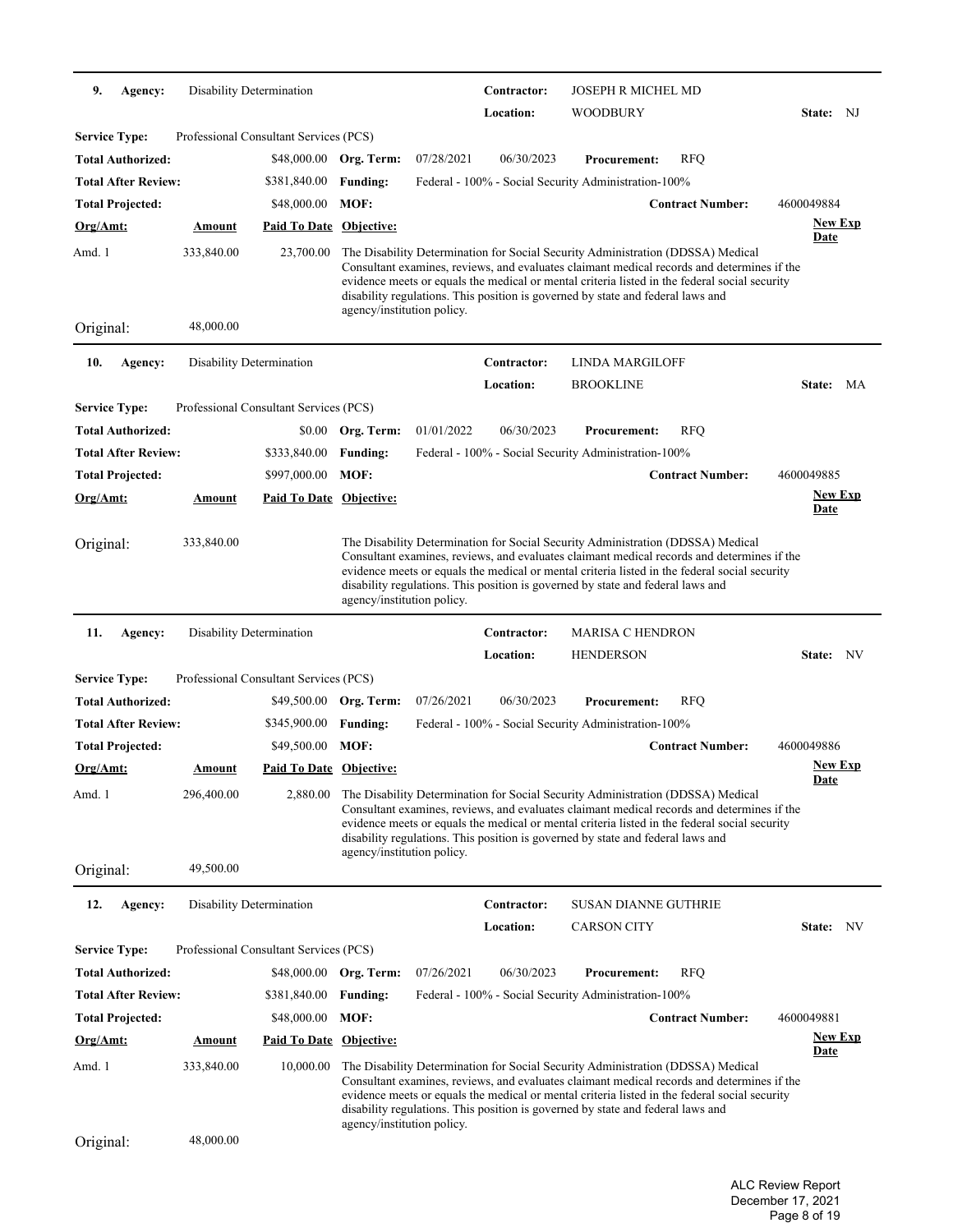| 9.                   | Agency:                    | <b>Disability Determination</b> |                                        |                            |            | Contractor: | <b>JOSEPH R MICHEL MD</b>                                                                                                                                                                                                                                                                                                                                         |                         |                               |
|----------------------|----------------------------|---------------------------------|----------------------------------------|----------------------------|------------|-------------|-------------------------------------------------------------------------------------------------------------------------------------------------------------------------------------------------------------------------------------------------------------------------------------------------------------------------------------------------------------------|-------------------------|-------------------------------|
|                      |                            |                                 |                                        |                            |            | Location:   | WOODBURY                                                                                                                                                                                                                                                                                                                                                          |                         | State: NJ                     |
| <b>Service Type:</b> |                            |                                 | Professional Consultant Services (PCS) |                            |            |             |                                                                                                                                                                                                                                                                                                                                                                   |                         |                               |
|                      | <b>Total Authorized:</b>   |                                 |                                        | \$48,000.00 Org. Term:     | 07/28/2021 | 06/30/2023  | <b>Procurement:</b>                                                                                                                                                                                                                                                                                                                                               | <b>RFQ</b>              |                               |
|                      | <b>Total After Review:</b> |                                 | \$381,840.00                           | <b>Funding:</b>            |            |             | Federal - 100% - Social Security Administration-100%                                                                                                                                                                                                                                                                                                              |                         |                               |
|                      | <b>Total Projected:</b>    |                                 | \$48,000.00                            | MOF:                       |            |             |                                                                                                                                                                                                                                                                                                                                                                   | <b>Contract Number:</b> | 4600049884                    |
| Org/Amt:             |                            | <b>Amount</b>                   | <b>Paid To Date Objective:</b>         |                            |            |             |                                                                                                                                                                                                                                                                                                                                                                   |                         | <b>New Exp</b><br><b>Date</b> |
| Amd. 1               |                            | 333,840.00                      | 23,700.00                              | agency/institution policy. |            |             | The Disability Determination for Social Security Administration (DDSSA) Medical<br>Consultant examines, reviews, and evaluates claimant medical records and determines if the<br>evidence meets or equals the medical or mental criteria listed in the federal social security<br>disability regulations. This position is governed by state and federal laws and |                         |                               |
| Original:            |                            | 48,000.00                       |                                        |                            |            |             |                                                                                                                                                                                                                                                                                                                                                                   |                         |                               |
| 10.                  | Agency:                    | Disability Determination        |                                        |                            |            | Contractor: | <b>LINDA MARGILOFF</b>                                                                                                                                                                                                                                                                                                                                            |                         |                               |
|                      |                            |                                 |                                        |                            |            | Location:   | <b>BROOKLINE</b>                                                                                                                                                                                                                                                                                                                                                  |                         | State:<br>MA                  |
| <b>Service Type:</b> |                            |                                 | Professional Consultant Services (PCS) |                            |            |             |                                                                                                                                                                                                                                                                                                                                                                   |                         |                               |
|                      | <b>Total Authorized:</b>   |                                 | \$0.00                                 | Org. Term:                 | 01/01/2022 | 06/30/2023  | <b>Procurement:</b>                                                                                                                                                                                                                                                                                                                                               | <b>RFQ</b>              |                               |
|                      | <b>Total After Review:</b> |                                 | \$333,840.00                           | <b>Funding:</b>            |            |             | Federal - 100% - Social Security Administration-100%                                                                                                                                                                                                                                                                                                              |                         |                               |
|                      | <b>Total Projected:</b>    |                                 | \$997,000.00                           | MOF:                       |            |             |                                                                                                                                                                                                                                                                                                                                                                   | <b>Contract Number:</b> | 4600049885                    |
| $Org/Amt$ :          |                            | Amount                          | <b>Paid To Date Objective:</b>         |                            |            |             |                                                                                                                                                                                                                                                                                                                                                                   |                         | <b>New Exp</b><br><u>Date</u> |
| Original:            |                            | 333,840.00                      |                                        | agency/institution policy. |            |             | The Disability Determination for Social Security Administration (DDSSA) Medical<br>Consultant examines, reviews, and evaluates claimant medical records and determines if the<br>evidence meets or equals the medical or mental criteria listed in the federal social security<br>disability regulations. This position is governed by state and federal laws and |                         |                               |
| 11.                  | Agency:                    | Disability Determination        |                                        |                            |            | Contractor: | <b>MARISA C HENDRON</b>                                                                                                                                                                                                                                                                                                                                           |                         |                               |
|                      |                            |                                 |                                        |                            |            | Location:   | <b>HENDERSON</b>                                                                                                                                                                                                                                                                                                                                                  |                         | NV<br>State:                  |
| <b>Service Type:</b> |                            |                                 | Professional Consultant Services (PCS) |                            |            |             |                                                                                                                                                                                                                                                                                                                                                                   |                         |                               |
|                      | Total Authorized:          |                                 |                                        | \$49,500.00 Org. Term:     | 07/26/2021 | 06/30/2023  | <b>Procurement:</b>                                                                                                                                                                                                                                                                                                                                               | <b>RFQ</b>              |                               |
|                      | <b>Total After Review:</b> |                                 | \$345,900.00                           | <b>Funding:</b>            |            |             | Federal - 100% - Social Security Administration-100%                                                                                                                                                                                                                                                                                                              |                         |                               |
|                      | <b>Total Projected:</b>    |                                 | \$49,500.00                            | MOF:                       |            |             |                                                                                                                                                                                                                                                                                                                                                                   | <b>Contract Number:</b> | 4600049886                    |
| Org/Amt:             |                            | Amount                          | <b>Paid To Date Objective:</b>         |                            |            |             |                                                                                                                                                                                                                                                                                                                                                                   |                         | <b>New Exp</b><br><u>Date</u> |
| Amd. 1<br>Original:  |                            | 296,400.00<br>49,500.00         | 2,880.00                               | agency/institution policy. |            |             | The Disability Determination for Social Security Administration (DDSSA) Medical<br>Consultant examines, reviews, and evaluates claimant medical records and determines if the<br>evidence meets or equals the medical or mental criteria listed in the federal social security<br>disability regulations. This position is governed by state and federal laws and |                         |                               |
|                      |                            |                                 |                                        |                            |            |             |                                                                                                                                                                                                                                                                                                                                                                   |                         |                               |
| 12.                  | Agency:                    | Disability Determination        |                                        |                            |            | Contractor: | <b>SUSAN DIANNE GUTHRIE</b>                                                                                                                                                                                                                                                                                                                                       |                         |                               |
|                      |                            |                                 |                                        |                            |            | Location:   | <b>CARSON CITY</b>                                                                                                                                                                                                                                                                                                                                                |                         | State: NV                     |
| <b>Service Type:</b> |                            |                                 | Professional Consultant Services (PCS) |                            |            |             |                                                                                                                                                                                                                                                                                                                                                                   |                         |                               |
|                      | Total Authorized:          |                                 | \$48,000.00                            | Org. Term:                 | 07/26/2021 | 06/30/2023  | <b>Procurement:</b>                                                                                                                                                                                                                                                                                                                                               | <b>RFQ</b>              |                               |
|                      | <b>Total After Review:</b> |                                 | \$381,840.00                           | <b>Funding:</b>            |            |             | Federal - 100% - Social Security Administration-100%                                                                                                                                                                                                                                                                                                              |                         |                               |
|                      | <b>Total Projected:</b>    |                                 | \$48,000.00                            | MOF:                       |            |             |                                                                                                                                                                                                                                                                                                                                                                   | <b>Contract Number:</b> | 4600049881                    |
| Org/Amt:             |                            | <u>Amount</u>                   | <b>Paid To Date Objective:</b>         |                            |            |             |                                                                                                                                                                                                                                                                                                                                                                   |                         | <b>New Exp</b><br><b>Date</b> |
| Amd. 1               |                            | 333,840.00                      | 10,000.00                              |                            |            |             | The Disability Determination for Social Security Administration (DDSSA) Medical                                                                                                                                                                                                                                                                                   |                         |                               |
|                      |                            |                                 |                                        | agency/institution policy. |            |             | Consultant examines, reviews, and evaluates claimant medical records and determines if the<br>evidence meets or equals the medical or mental criteria listed in the federal social security<br>disability regulations. This position is governed by state and federal laws and                                                                                    |                         |                               |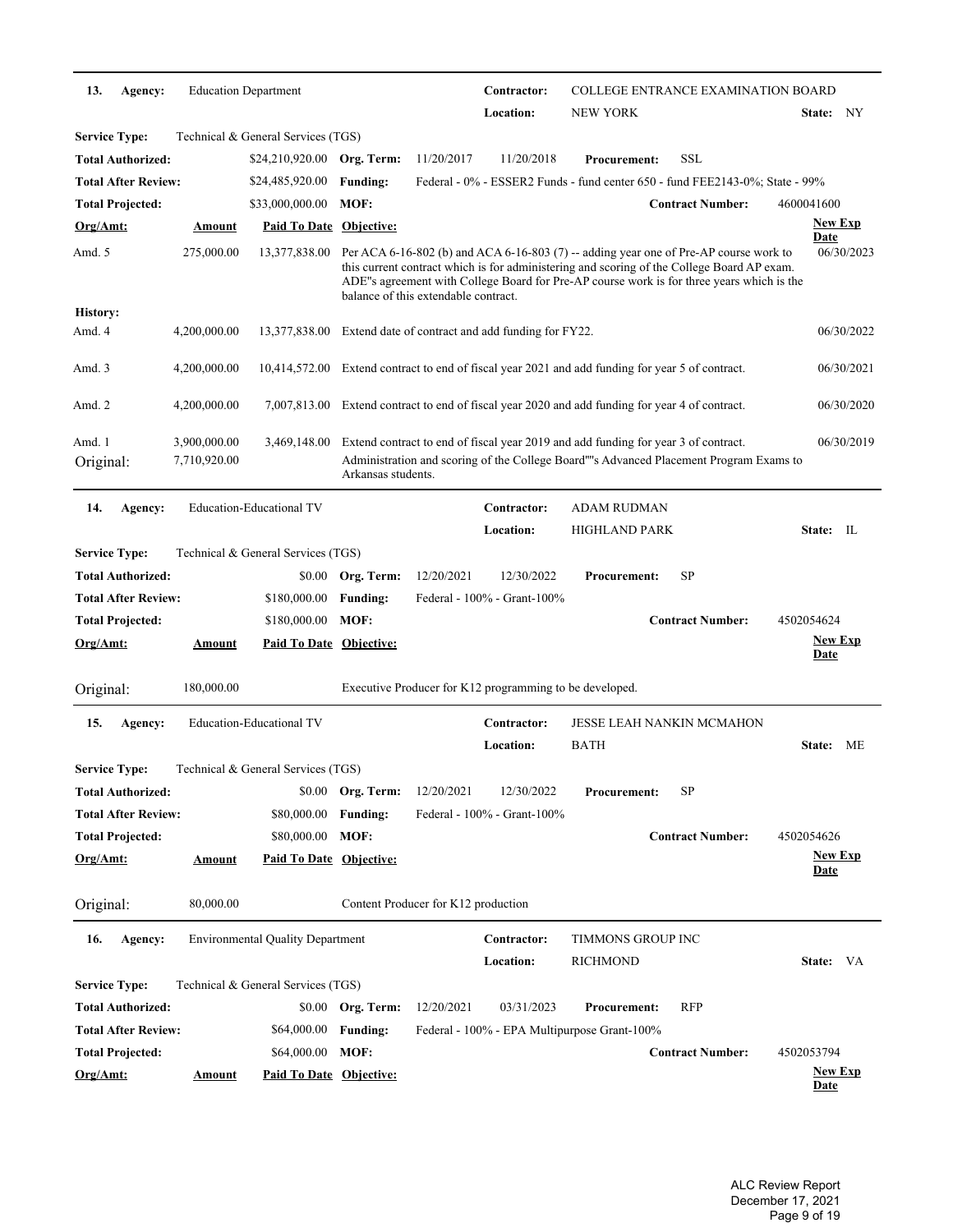| 13.                  | Agency:                    |                              | <b>Education Department</b>             |                    |                                      | Contractor:                                             |                                                                                    | <b>COLLEGE ENTRANCE EXAMINATION BOARD</b>                                                                                                                                                                                                                                        |                               |                |
|----------------------|----------------------------|------------------------------|-----------------------------------------|--------------------|--------------------------------------|---------------------------------------------------------|------------------------------------------------------------------------------------|----------------------------------------------------------------------------------------------------------------------------------------------------------------------------------------------------------------------------------------------------------------------------------|-------------------------------|----------------|
|                      |                            |                              |                                         |                    |                                      | Location:                                               | <b>NEW YORK</b>                                                                    |                                                                                                                                                                                                                                                                                  | State: NY                     |                |
| <b>Service Type:</b> |                            |                              | Technical & General Services (TGS)      |                    |                                      |                                                         |                                                                                    |                                                                                                                                                                                                                                                                                  |                               |                |
|                      | <b>Total Authorized:</b>   |                              | \$24,210,920.00                         | Org. Term:         | 11/20/2017                           | 11/20/2018                                              | <b>Procurement:</b>                                                                | SSL                                                                                                                                                                                                                                                                              |                               |                |
|                      | <b>Total After Review:</b> |                              | \$24,485,920.00                         | <b>Funding:</b>    |                                      |                                                         |                                                                                    | Federal - 0% - ESSER2 Funds - fund center 650 - fund FEE2143-0%; State - 99%                                                                                                                                                                                                     |                               |                |
|                      | <b>Total Projected:</b>    |                              | \$33,000,000.00                         | MOF:               |                                      |                                                         |                                                                                    | <b>Contract Number:</b>                                                                                                                                                                                                                                                          | 4600041600                    |                |
| Org/Amt:             |                            | Amount                       | Paid To Date Objective:                 |                    |                                      |                                                         |                                                                                    |                                                                                                                                                                                                                                                                                  | Date                          | <b>New Exp</b> |
| Amd. 5               |                            | 275,000.00                   | 13,377,838.00                           |                    | balance of this extendable contract. |                                                         |                                                                                    | Per ACA 6-16-802 (b) and ACA 6-16-803 (7) -- adding year one of Pre-AP course work to<br>this current contract which is for administering and scoring of the College Board AP exam.<br>ADE"s agreement with College Board for Pre-AP course work is for three years which is the |                               | 06/30/2023     |
| <b>History:</b>      |                            |                              |                                         |                    |                                      |                                                         |                                                                                    |                                                                                                                                                                                                                                                                                  |                               |                |
| Amd. 4               |                            | 4,200,000.00                 | 13,377,838.00                           |                    |                                      | Extend date of contract and add funding for FY22.       |                                                                                    |                                                                                                                                                                                                                                                                                  |                               | 06/30/2022     |
| Amd. 3               |                            | 4,200,000.00                 | 10,414,572.00                           |                    |                                      |                                                         | Extend contract to end of fiscal year 2021 and add funding for year 5 of contract. |                                                                                                                                                                                                                                                                                  |                               | 06/30/2021     |
| Amd. 2               |                            | 4,200,000.00                 | 7,007,813.00                            |                    |                                      |                                                         | Extend contract to end of fiscal year 2020 and add funding for year 4 of contract. |                                                                                                                                                                                                                                                                                  |                               | 06/30/2020     |
| Amd. 1<br>Original:  |                            | 3,900,000.00<br>7,710,920.00 | 3,469,148.00                            | Arkansas students. |                                      |                                                         | Extend contract to end of fiscal year 2019 and add funding for year 3 of contract. | Administration and scoring of the College Board""s Advanced Placement Program Exams to                                                                                                                                                                                           |                               | 06/30/2019     |
| 14.                  | Agency:                    |                              | <b>Education-Educational TV</b>         |                    |                                      | Contractor:                                             | <b>ADAM RUDMAN</b>                                                                 |                                                                                                                                                                                                                                                                                  |                               |                |
|                      |                            |                              |                                         |                    |                                      | Location:                                               | <b>HIGHLAND PARK</b>                                                               |                                                                                                                                                                                                                                                                                  | State: IL                     |                |
| <b>Service Type:</b> |                            |                              | Technical & General Services (TGS)      |                    |                                      |                                                         |                                                                                    |                                                                                                                                                                                                                                                                                  |                               |                |
|                      | Total Authorized:          |                              | \$0.00                                  | Org. Term:         | 12/20/2021                           | 12/30/2022                                              | <b>Procurement:</b>                                                                | SP                                                                                                                                                                                                                                                                               |                               |                |
|                      | <b>Total After Review:</b> |                              | \$180,000.00                            | <b>Funding:</b>    |                                      | Federal - 100% - Grant-100%                             |                                                                                    |                                                                                                                                                                                                                                                                                  |                               |                |
|                      | <b>Total Projected:</b>    |                              | \$180,000.00                            | MOF:               |                                      |                                                         |                                                                                    | <b>Contract Number:</b>                                                                                                                                                                                                                                                          | 4502054624                    |                |
| Org/Amt:             |                            | <u>Amount</u>                | Paid To Date Objective:                 |                    |                                      |                                                         |                                                                                    |                                                                                                                                                                                                                                                                                  | <b>New Exp</b><br><b>Date</b> |                |
| Original:            |                            | 180,000.00                   |                                         |                    |                                      | Executive Producer for K12 programming to be developed. |                                                                                    |                                                                                                                                                                                                                                                                                  |                               |                |
| 15.                  | Agency:                    |                              | <b>Education-Educational TV</b>         |                    |                                      | Contractor:                                             |                                                                                    | <b>JESSE LEAH NANKIN MCMAHON</b>                                                                                                                                                                                                                                                 |                               |                |
|                      |                            |                              |                                         |                    |                                      | Location:                                               | <b>BATH</b>                                                                        |                                                                                                                                                                                                                                                                                  | State:                        | МE             |
| <b>Service Type:</b> |                            |                              | Technical & General Services (TGS)      |                    |                                      |                                                         |                                                                                    |                                                                                                                                                                                                                                                                                  |                               |                |
|                      | <b>Total Authorized:</b>   |                              |                                         | \$0.00 Org. Term:  | 12/20/2021                           | 12/30/2022                                              | <b>Procurement:</b>                                                                | SP                                                                                                                                                                                                                                                                               |                               |                |
|                      | <b>Total After Review:</b> |                              | \$80,000.00                             | <b>Funding:</b>    |                                      | Federal - 100% - Grant-100%                             |                                                                                    |                                                                                                                                                                                                                                                                                  |                               |                |
|                      | <b>Total Projected:</b>    |                              | \$80,000.00                             | MOF:               |                                      |                                                         |                                                                                    | <b>Contract Number:</b>                                                                                                                                                                                                                                                          | 4502054626                    |                |
| $Org/Amt$ :          |                            | <u>Amount</u>                | <b>Paid To Date Objective:</b>          |                    |                                      |                                                         |                                                                                    |                                                                                                                                                                                                                                                                                  |                               | <b>New Exp</b> |
|                      |                            |                              |                                         |                    |                                      |                                                         |                                                                                    |                                                                                                                                                                                                                                                                                  | <u>Date</u>                   |                |
| Original:            |                            | 80,000.00                    |                                         |                    | Content Producer for K12 production  |                                                         |                                                                                    |                                                                                                                                                                                                                                                                                  |                               |                |
| 16.                  | Agency:                    |                              | <b>Environmental Quality Department</b> |                    |                                      | Contractor:                                             | <b>TIMMONS GROUP INC</b>                                                           |                                                                                                                                                                                                                                                                                  |                               |                |
|                      |                            |                              |                                         |                    |                                      | Location:                                               | <b>RICHMOND</b>                                                                    |                                                                                                                                                                                                                                                                                  | State: VA                     |                |
| <b>Service Type:</b> |                            |                              | Technical & General Services (TGS)      |                    |                                      |                                                         |                                                                                    |                                                                                                                                                                                                                                                                                  |                               |                |
|                      | Total Authorized:          |                              | \$0.00                                  | Org. Term:         | 12/20/2021                           | 03/31/2023                                              | <b>Procurement:</b>                                                                | RFP                                                                                                                                                                                                                                                                              |                               |                |
|                      | Total After Review:        |                              | \$64,000.00                             | <b>Funding:</b>    |                                      |                                                         | Federal - 100% - EPA Multipurpose Grant-100%                                       |                                                                                                                                                                                                                                                                                  |                               |                |
|                      | <b>Total Projected:</b>    |                              | \$64,000.00                             | MOF:               |                                      |                                                         |                                                                                    | <b>Contract Number:</b>                                                                                                                                                                                                                                                          | 4502053794                    |                |
| Org/Amt:             |                            | <u>Amount</u>                | <b>Paid To Date Objective:</b>          |                    |                                      |                                                         |                                                                                    |                                                                                                                                                                                                                                                                                  | Date                          | <u>New Exp</u> |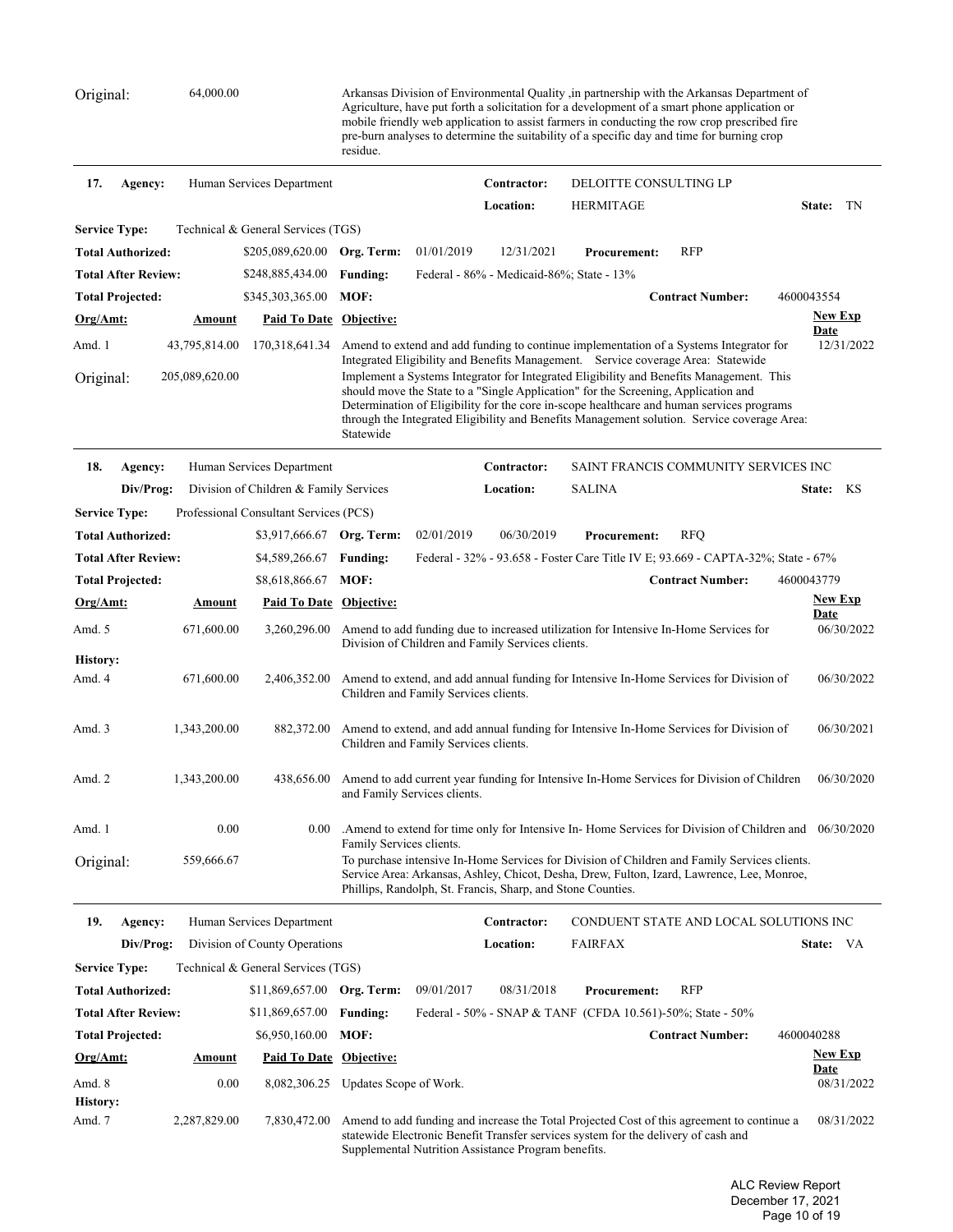Original: 64,000.00 Arkansas Division of Environmental Quality ,in partnership with the Arkansas Department of Agriculture, have put forth a solicitation for a development of a smart phone application or mobile friendly web application to assist farmers in conducting the row crop prescribed fire pre-burn analyses to determine the suitability of a specific day and time for burning crop residue.

| 17.<br>Agency:             |                                 | Human Services Department              |                          |                                       | Contractor:                                                 | DELOITTE CONSULTING LP                                                             |                                                                                                                                                                                                                                                                                                                                                                                                                                                                   |                           |  |
|----------------------------|---------------------------------|----------------------------------------|--------------------------|---------------------------------------|-------------------------------------------------------------|------------------------------------------------------------------------------------|-------------------------------------------------------------------------------------------------------------------------------------------------------------------------------------------------------------------------------------------------------------------------------------------------------------------------------------------------------------------------------------------------------------------------------------------------------------------|---------------------------|--|
|                            |                                 |                                        |                          |                                       | Location:                                                   | <b>HERMITAGE</b>                                                                   |                                                                                                                                                                                                                                                                                                                                                                                                                                                                   | State: TN                 |  |
| <b>Service Type:</b>       |                                 | Technical & General Services (TGS)     |                          |                                       |                                                             |                                                                                    |                                                                                                                                                                                                                                                                                                                                                                                                                                                                   |                           |  |
| <b>Total Authorized:</b>   |                                 | \$205,089,620.00                       | Org. Term:               | 01/01/2019                            | 12/31/2021                                                  | <b>Procurement:</b>                                                                | <b>RFP</b>                                                                                                                                                                                                                                                                                                                                                                                                                                                        |                           |  |
| <b>Total After Review:</b> |                                 | \$248,885,434.00                       | <b>Funding:</b>          |                                       | Federal - 86% - Medicaid-86%; State - 13%                   |                                                                                    |                                                                                                                                                                                                                                                                                                                                                                                                                                                                   |                           |  |
| <b>Total Projected:</b>    |                                 | \$345,303,365.00                       | MOF:                     |                                       |                                                             |                                                                                    | <b>Contract Number:</b>                                                                                                                                                                                                                                                                                                                                                                                                                                           | 4600043554                |  |
| Org/Amt:                   | Amount                          | <b>Paid To Date Objective:</b>         |                          |                                       |                                                             |                                                                                    |                                                                                                                                                                                                                                                                                                                                                                                                                                                                   | <b>New Exp</b><br>Date    |  |
| Amd. 1<br>Original:        | 43,795,814.00<br>205,089,620.00 | 170,318,641.34                         | Statewide                |                                       |                                                             | should move the State to a "Single Application" for the Screening, Application and | Amend to extend and add funding to continue implementation of a Systems Integrator for<br>Integrated Eligibility and Benefits Management. Service coverage Area: Statewide<br>Implement a Systems Integrator for Integrated Eligibility and Benefits Management. This<br>Determination of Eligibility for the core in-scope healthcare and human services programs<br>through the Integrated Eligibility and Benefits Management solution. Service coverage Area: | 12/31/2022                |  |
| 18.<br>Agency:             |                                 | Human Services Department              |                          |                                       | Contractor:                                                 |                                                                                    | SAINT FRANCIS COMMUNITY SERVICES INC                                                                                                                                                                                                                                                                                                                                                                                                                              |                           |  |
| Div/Prog:                  |                                 | Division of Children & Family Services |                          |                                       | Location:                                                   | <b>SALINA</b>                                                                      |                                                                                                                                                                                                                                                                                                                                                                                                                                                                   | State: KS                 |  |
| <b>Service Type:</b>       |                                 | Professional Consultant Services (PCS) |                          |                                       |                                                             |                                                                                    |                                                                                                                                                                                                                                                                                                                                                                                                                                                                   |                           |  |
| <b>Total Authorized:</b>   |                                 | \$3,917,666.67 Org. Term:              |                          | 02/01/2019                            | 06/30/2019                                                  | <b>Procurement:</b>                                                                | <b>RFQ</b>                                                                                                                                                                                                                                                                                                                                                                                                                                                        |                           |  |
| <b>Total After Review:</b> |                                 | \$4,589,266.67                         | <b>Funding:</b>          |                                       |                                                             |                                                                                    | Federal - 32% - 93.658 - Foster Care Title IV E; 93.669 - CAPTA-32%; State - 67%                                                                                                                                                                                                                                                                                                                                                                                  |                           |  |
| <b>Total Projected:</b>    |                                 | \$8,618,866.67                         | MOF:                     |                                       |                                                             |                                                                                    | <b>Contract Number:</b>                                                                                                                                                                                                                                                                                                                                                                                                                                           | 4600043779                |  |
| Org/Amt:                   | Amount                          | Paid To Date Objective:                |                          |                                       |                                                             |                                                                                    |                                                                                                                                                                                                                                                                                                                                                                                                                                                                   | <b>New Exp</b>            |  |
| Amd. 5                     | 671,600.00                      | 3,260,296.00                           |                          |                                       | Division of Children and Family Services clients.           |                                                                                    | Amend to add funding due to increased utilization for Intensive In-Home Services for                                                                                                                                                                                                                                                                                                                                                                              | Date<br>06/30/2022        |  |
| <b>History:</b><br>Amd. 4  | 671,600.00                      | 2,406,352.00                           |                          | Children and Family Services clients. |                                                             |                                                                                    | Amend to extend, and add annual funding for Intensive In-Home Services for Division of                                                                                                                                                                                                                                                                                                                                                                            | 06/30/2022                |  |
| Amd. 3                     | 1,343,200.00                    | 882,372.00                             |                          | Children and Family Services clients. |                                                             |                                                                                    | Amend to extend, and add annual funding for Intensive In-Home Services for Division of                                                                                                                                                                                                                                                                                                                                                                            | 06/30/2021                |  |
| Amd. 2                     | 1,343,200.00                    | 438,656.00                             |                          | and Family Services clients.          |                                                             |                                                                                    | Amend to add current year funding for Intensive In-Home Services for Division of Children                                                                                                                                                                                                                                                                                                                                                                         | 06/30/2020                |  |
| Amd. 1                     | 0.00                            | 0.00                                   | Family Services clients. |                                       |                                                             |                                                                                    | Amend to extend for time only for Intensive In-Home Services for Division of Children and 06/30/2020.                                                                                                                                                                                                                                                                                                                                                             |                           |  |
| Original:                  | 559,666.67                      |                                        |                          |                                       | Phillips, Randolph, St. Francis, Sharp, and Stone Counties. |                                                                                    | To purchase intensive In-Home Services for Division of Children and Family Services clients.<br>Service Area: Arkansas, Ashley, Chicot, Desha, Drew, Fulton, Izard, Lawrence, Lee, Monroe,                                                                                                                                                                                                                                                                        |                           |  |
| 19.<br>Agency:             |                                 | Human Services Department              |                          |                                       | Contractor:                                                 |                                                                                    | CONDUENT STATE AND LOCAL SOLUTIONS INC                                                                                                                                                                                                                                                                                                                                                                                                                            |                           |  |
| Div/Prog:                  |                                 | Division of County Operations          |                          |                                       | <b>Location:</b>                                            | <b>FAIRFAX</b>                                                                     |                                                                                                                                                                                                                                                                                                                                                                                                                                                                   | State: VA                 |  |
| <b>Service Type:</b>       |                                 | Technical & General Services (TGS)     |                          |                                       |                                                             |                                                                                    |                                                                                                                                                                                                                                                                                                                                                                                                                                                                   |                           |  |
| <b>Total Authorized:</b>   |                                 | \$11,869,657.00                        | Org. Term:               | 09/01/2017                            | 08/31/2018                                                  | <b>Procurement:</b>                                                                | <b>RFP</b>                                                                                                                                                                                                                                                                                                                                                                                                                                                        |                           |  |
| <b>Total After Review:</b> |                                 | \$11,869,657.00                        | <b>Funding:</b>          |                                       |                                                             | Federal - 50% - SNAP & TANF (CFDA 10.561)-50%; State - 50%                         |                                                                                                                                                                                                                                                                                                                                                                                                                                                                   |                           |  |
| <b>Total Projected:</b>    |                                 | \$6,950,160.00                         | MOF:                     |                                       |                                                             |                                                                                    | <b>Contract Number:</b>                                                                                                                                                                                                                                                                                                                                                                                                                                           | 4600040288                |  |
| Org/Amt:                   | <u>Amount</u>                   | <b>Paid To Date Objective:</b>         |                          |                                       |                                                             |                                                                                    |                                                                                                                                                                                                                                                                                                                                                                                                                                                                   | <b>New Exp</b>            |  |
| Amd. 8                     | 0.00                            | 8,082,306.25                           | Updates Scope of Work.   |                                       |                                                             |                                                                                    |                                                                                                                                                                                                                                                                                                                                                                                                                                                                   | <b>Date</b><br>08/31/2022 |  |
| <b>History:</b><br>Amd. 7  | 2,287,829.00                    | 7,830,472.00                           |                          |                                       | Supplemental Nutrition Assistance Program benefits.         | statewide Electronic Benefit Transfer services system for the delivery of cash and | Amend to add funding and increase the Total Projected Cost of this agreement to continue a                                                                                                                                                                                                                                                                                                                                                                        | 08/31/2022                |  |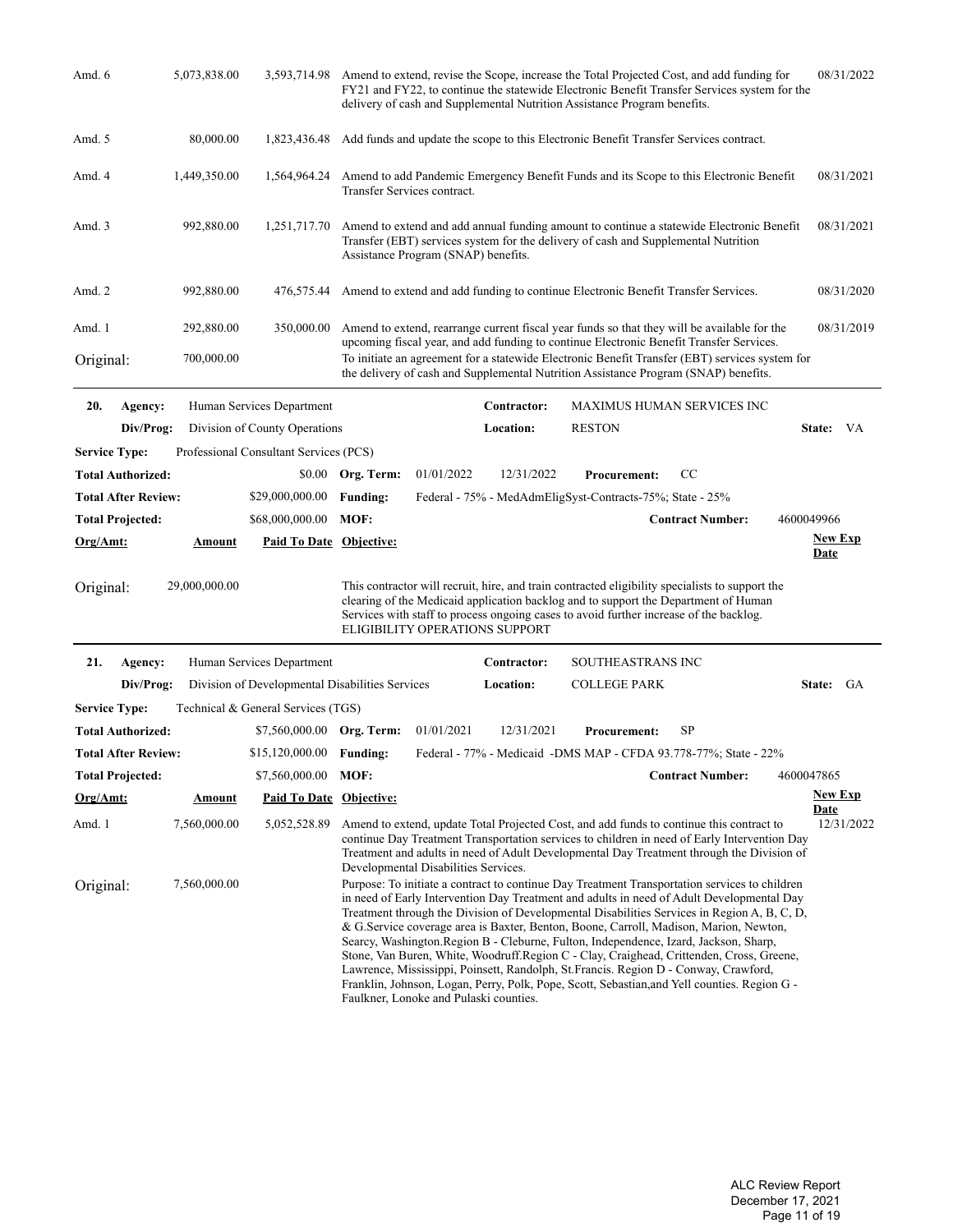| Amd. 6                  |                            | 5,073,838.00  | 3,593,714.98                           | Amend to extend, revise the Scope, increase the Total Projected Cost, and add funding for<br>FY21 and FY22, to continue the statewide Electronic Benefit Transfer Services system for the<br>delivery of cash and Supplemental Nutrition Assistance Program benefits.                                                         | 08/31/2022                |
|-------------------------|----------------------------|---------------|----------------------------------------|-------------------------------------------------------------------------------------------------------------------------------------------------------------------------------------------------------------------------------------------------------------------------------------------------------------------------------|---------------------------|
| Amd. 5                  |                            | 80,000.00     | 1,823,436.48                           | Add funds and update the scope to this Electronic Benefit Transfer Services contract.                                                                                                                                                                                                                                         |                           |
| Amd. 4                  |                            | 1,449,350.00  | 1,564,964.24                           | Amend to add Pandemic Emergency Benefit Funds and its Scope to this Electronic Benefit<br>Transfer Services contract.                                                                                                                                                                                                         | 08/31/2021                |
| Amd. 3                  |                            | 992,880.00    | 1,251,717.70                           | Amend to extend and add annual funding amount to continue a statewide Electronic Benefit<br>Transfer (EBT) services system for the delivery of cash and Supplemental Nutrition<br>Assistance Program (SNAP) benefits.                                                                                                         | 08/31/2021                |
| Amd. 2                  |                            | 992,880.00    | 476,575.44                             | Amend to extend and add funding to continue Electronic Benefit Transfer Services.                                                                                                                                                                                                                                             | 08/31/2020                |
| Amd. 1                  |                            | 292,880.00    | 350,000.00                             | Amend to extend, rearrange current fiscal year funds so that they will be available for the                                                                                                                                                                                                                                   | 08/31/2019                |
| Original:               |                            | 700,000.00    |                                        | upcoming fiscal year, and add funding to continue Electronic Benefit Transfer Services.<br>To initiate an agreement for a statewide Electronic Benefit Transfer (EBT) services system for<br>the delivery of cash and Supplemental Nutrition Assistance Program (SNAP) benefits.                                              |                           |
| 20.                     | Agency:                    |               | Human Services Department              | Contractor:<br><b>MAXIMUS HUMAN SERVICES INC</b>                                                                                                                                                                                                                                                                              |                           |
|                         | Div/Prog:                  |               | Division of County Operations          | <b>RESTON</b><br>Location:                                                                                                                                                                                                                                                                                                    | State: VA                 |
| <b>Service Type:</b>    |                            |               | Professional Consultant Services (PCS) |                                                                                                                                                                                                                                                                                                                               |                           |
|                         | <b>Total Authorized:</b>   |               |                                        | 01/01/2022<br>12/31/2022<br>\$0.00 Org. Term:<br><b>Procurement:</b><br>CC                                                                                                                                                                                                                                                    |                           |
|                         | <b>Total After Review:</b> |               | \$29,000,000.00                        | Federal - 75% - MedAdmEligSyst-Contracts-75%; State - 25%<br><b>Funding:</b>                                                                                                                                                                                                                                                  |                           |
| <b>Total Projected:</b> |                            |               | \$68,000,000.00                        | MOF:<br><b>Contract Number:</b><br>4600049966                                                                                                                                                                                                                                                                                 |                           |
| Org/Amt:                |                            | <b>Amount</b> | <b>Paid To Date Objective:</b>         |                                                                                                                                                                                                                                                                                                                               | <u>New Exp</u>            |
|                         |                            |               |                                        |                                                                                                                                                                                                                                                                                                                               | <b>Date</b>               |
| Original:               |                            | 29,000,000.00 |                                        | This contractor will recruit, hire, and train contracted eligibility specialists to support the<br>clearing of the Medicaid application backlog and to support the Department of Human<br>Services with staff to process ongoing cases to avoid further increase of the backlog.<br><b>ELIGIBILITY OPERATIONS SUPPORT</b>     |                           |
| 21.                     | Agency:                    |               | Human Services Department              | SOUTHEASTRANS INC<br>Contractor:                                                                                                                                                                                                                                                                                              |                           |
|                         | Div/Prog:                  |               |                                        | Location:<br><b>COLLEGE PARK</b><br>Division of Developmental Disabilities Services                                                                                                                                                                                                                                           | State: GA                 |
| <b>Service Type:</b>    |                            |               | Technical & General Services (TGS)     |                                                                                                                                                                                                                                                                                                                               |                           |
|                         | <b>Total Authorized:</b>   |               | \$7,560,000.00 Org. Term:              | 01/01/2021<br>12/31/2021<br>SP<br><b>Procurement:</b>                                                                                                                                                                                                                                                                         |                           |
|                         | <b>Total After Review:</b> |               | \$15,120,000.00 Funding:               | Federal - 77% - Medicaid - DMS MAP - CFDA 93.778-77%; State - 22%                                                                                                                                                                                                                                                             |                           |
| <b>Total Projected:</b> |                            |               | \$7,560,000.00 MOF:                    | <b>Contract Number:</b><br>4600047865                                                                                                                                                                                                                                                                                         |                           |
| $Org/Amt$ :             |                            | <u>Amount</u> | Paid To Date Objective:                |                                                                                                                                                                                                                                                                                                                               | <b>New Exp</b>            |
| Amd. 1                  |                            | 7,560,000.00  | 5,052,528.89                           | Amend to extend, update Total Projected Cost, and add funds to continue this contract to<br>continue Day Treatment Transportation services to children in need of Early Intervention Day<br>Treatment and adults in need of Adult Developmental Day Treatment through the Division of<br>Developmental Disabilities Services. | <b>Date</b><br>12/31/2022 |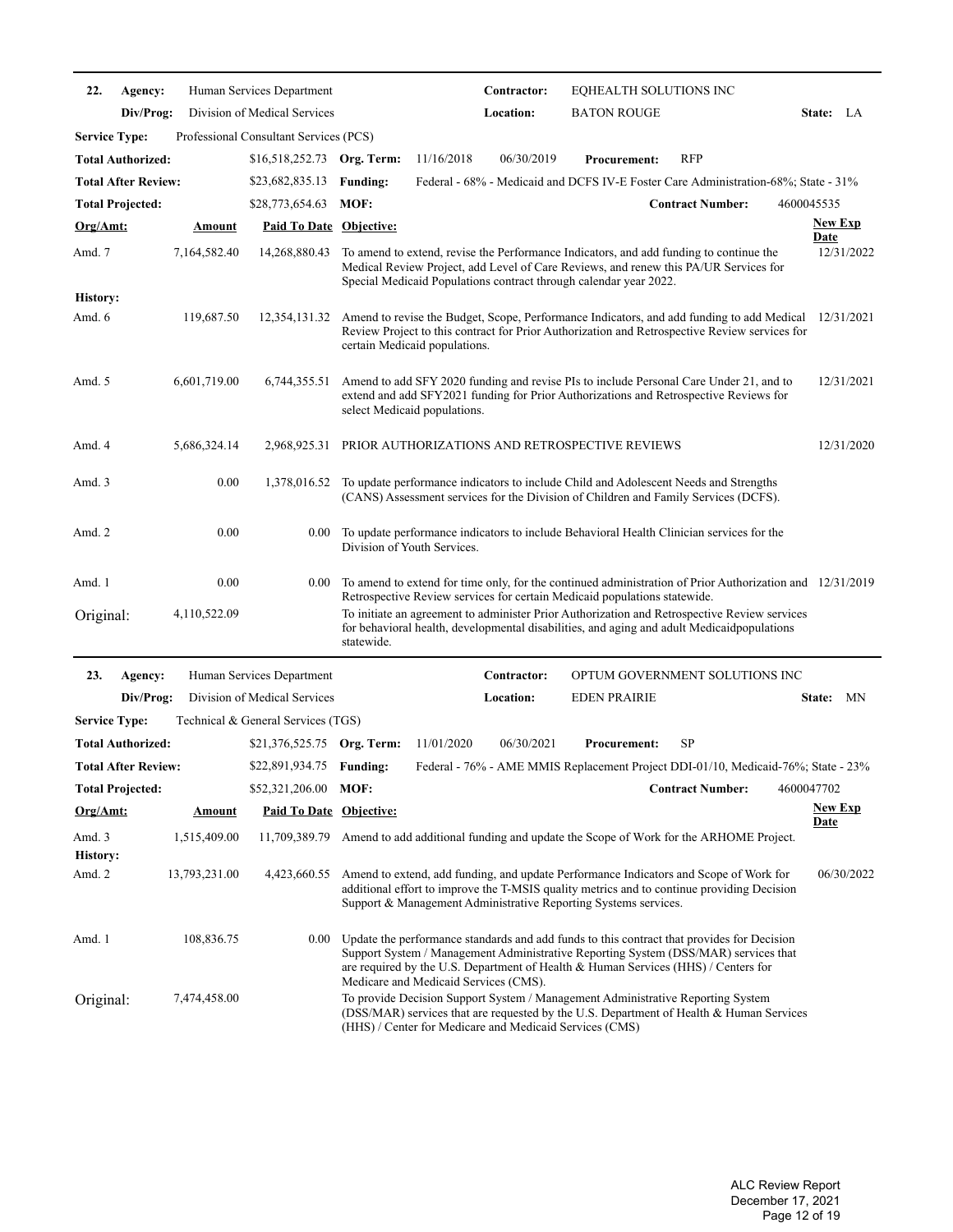| 22.                       | Agency:                    |               | Human Services Department              |                                                                                                  |            | Contractor: | EQHEALTH SOLUTIONS INC                                                                                                                                                                                                                                                  |                         |                |            |
|---------------------------|----------------------------|---------------|----------------------------------------|--------------------------------------------------------------------------------------------------|------------|-------------|-------------------------------------------------------------------------------------------------------------------------------------------------------------------------------------------------------------------------------------------------------------------------|-------------------------|----------------|------------|
|                           | Div/Prog:                  |               | Division of Medical Services           |                                                                                                  |            | Location:   | <b>BATON ROUGE</b>                                                                                                                                                                                                                                                      |                         | State: LA      |            |
| <b>Service Type:</b>      |                            |               | Professional Consultant Services (PCS) |                                                                                                  |            |             |                                                                                                                                                                                                                                                                         |                         |                |            |
|                           | <b>Total Authorized:</b>   |               | \$16,518,252.73 Org. Term:             |                                                                                                  | 11/16/2018 | 06/30/2019  | <b>Procurement:</b>                                                                                                                                                                                                                                                     | <b>RFP</b>              |                |            |
|                           | <b>Total After Review:</b> |               | \$23,682,835.13                        | <b>Funding:</b>                                                                                  |            |             | Federal - 68% - Medicaid and DCFS IV-E Foster Care Administration-68%; State - 31%                                                                                                                                                                                      |                         |                |            |
|                           | <b>Total Projected:</b>    |               | \$28,773,654.63                        | MOF:                                                                                             |            |             |                                                                                                                                                                                                                                                                         | <b>Contract Number:</b> | 4600045535     |            |
| <u>Org/Amt:</u>           |                            | Amount        | <b>Paid To Date Objective:</b>         |                                                                                                  |            |             |                                                                                                                                                                                                                                                                         |                         | <b>New Exp</b> |            |
| Amd. 7                    |                            | 7,164,582.40  | 14,268,880.43                          |                                                                                                  |            |             | To amend to extend, revise the Performance Indicators, and add funding to continue the<br>Medical Review Project, add Level of Care Reviews, and renew this PA/UR Services for<br>Special Medicaid Populations contract through calendar year 2022.                     |                         | <b>Date</b>    | 12/31/2022 |
| <b>History:</b><br>Amd. 6 |                            | 119,687.50    | 12,354,131.32                          | certain Medicaid populations.                                                                    |            |             | Amend to revise the Budget, Scope, Performance Indicators, and add funding to add Medical<br>Review Project to this contract for Prior Authorization and Retrospective Review services for                                                                              |                         |                | 12/31/2021 |
| Amd. 5                    |                            | 6,601,719.00  | 6,744,355.51                           | select Medicaid populations.                                                                     |            |             | Amend to add SFY 2020 funding and revise PIs to include Personal Care Under 21, and to<br>extend and add SFY2021 funding for Prior Authorizations and Retrospective Reviews for                                                                                         |                         |                | 12/31/2021 |
| Amd. 4                    |                            | 5,686,324.14  | 2,968,925.31                           |                                                                                                  |            |             | PRIOR AUTHORIZATIONS AND RETROSPECTIVE REVIEWS                                                                                                                                                                                                                          |                         |                | 12/31/2020 |
| Amd. 3                    |                            | 0.00          | 1,378,016.52                           |                                                                                                  |            |             | To update performance indicators to include Child and Adolescent Needs and Strengths<br>(CANS) Assessment services for the Division of Children and Family Services (DCFS).                                                                                             |                         |                |            |
| Amd. 2                    |                            | 0.00          | 0.00                                   | Division of Youth Services.                                                                      |            |             | To update performance indicators to include Behavioral Health Clinician services for the                                                                                                                                                                                |                         |                |            |
| Amd. 1                    |                            | 0.00          | 0.00                                   |                                                                                                  |            |             | To amend to extend for time only, for the continued administration of Prior Authorization and 12/31/2019                                                                                                                                                                |                         |                |            |
| Original:                 |                            | 4,110,522.09  |                                        | statewide.                                                                                       |            |             | Retrospective Review services for certain Medicaid populations statewide.<br>To initiate an agreement to administer Prior Authorization and Retrospective Review services<br>for behavioral health, developmental disabilities, and aging and adult Medicaidpopulations |                         |                |            |
| 23.                       | Agency:                    |               | Human Services Department              |                                                                                                  |            | Contractor: | OPTUM GOVERNMENT SOLUTIONS INC                                                                                                                                                                                                                                          |                         |                |            |
|                           | Div/Prog:                  |               | Division of Medical Services           |                                                                                                  |            | Location:   | <b>EDEN PRAIRIE</b>                                                                                                                                                                                                                                                     |                         | State: MN      |            |
| <b>Service Type:</b>      |                            |               | Technical & General Services (TGS)     |                                                                                                  |            |             |                                                                                                                                                                                                                                                                         |                         |                |            |
|                           | <b>Total Authorized:</b>   |               | \$21,376,525.75 Org. Term:             |                                                                                                  | 11/01/2020 | 06/30/2021  | <b>Procurement:</b>                                                                                                                                                                                                                                                     | SP                      |                |            |
|                           | <b>Total After Review:</b> |               | \$22,891,934.75                        | <b>Funding:</b>                                                                                  |            |             | Federal - 76% - AME MMIS Replacement Project DDI-01/10, Medicaid-76%; State - 23%                                                                                                                                                                                       |                         |                |            |
|                           | <b>Total Projected:</b>    |               | \$52,321,206.00 MOF:                   |                                                                                                  |            |             |                                                                                                                                                                                                                                                                         | <b>Contract Number:</b> | 4600047702     |            |
| <u>Org/Amt:</u>           |                            | <u>Amount</u> | <b>Paid To Date Objective:</b>         |                                                                                                  |            |             |                                                                                                                                                                                                                                                                         |                         | <b>New Exp</b> |            |
| Amd. 3<br>History:        |                            | 1,515,409.00  | 11,709,389.79                          |                                                                                                  |            |             | Amend to add additional funding and update the Scope of Work for the ARHOME Project.                                                                                                                                                                                    |                         | <u>Date</u>    |            |
| Amd. 2                    |                            | 13,793,231.00 | 4,423,660.55                           |                                                                                                  |            |             | Amend to extend, add funding, and update Performance Indicators and Scope of Work for<br>additional effort to improve the T-MSIS quality metrics and to continue providing Decision<br>Support & Management Administrative Reporting Systems services.                  |                         |                | 06/30/2022 |
| Amd. 1                    |                            | 108,836.75    | $0.00\,$                               |                                                                                                  |            |             | Update the performance standards and add funds to this contract that provides for Decision<br>Support System / Management Administrative Reporting System (DSS/MAR) services that<br>are required by the U.S. Department of Health & Human Services (HHS) / Centers for |                         |                |            |
| Original:                 |                            | 7,474,458.00  |                                        | Medicare and Medicaid Services (CMS).<br>(HHS) / Center for Medicare and Medicaid Services (CMS) |            |             | To provide Decision Support System / Management Administrative Reporting System<br>(DSS/MAR) services that are requested by the U.S. Department of Health & Human Services                                                                                              |                         |                |            |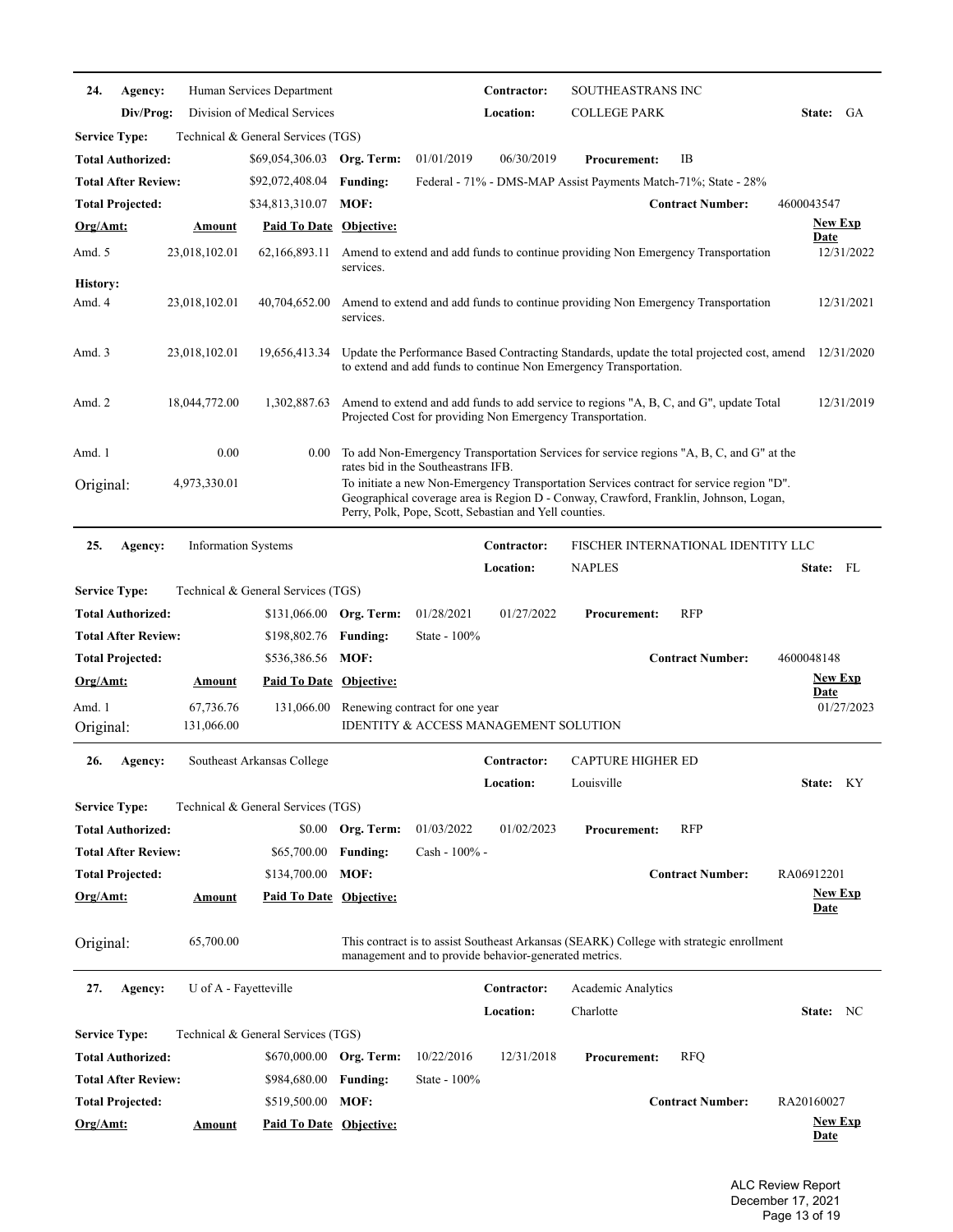| 24.                       | Agency:                    |                            | Human Services Department          |                   |                                                        | Contractor:              | SOUTHEASTRANS INC                                                                                                                                                                |                                    |                                                                                                       |
|---------------------------|----------------------------|----------------------------|------------------------------------|-------------------|--------------------------------------------------------|--------------------------|----------------------------------------------------------------------------------------------------------------------------------------------------------------------------------|------------------------------------|-------------------------------------------------------------------------------------------------------|
|                           | Div/Prog:                  |                            | Division of Medical Services       |                   |                                                        | Location:                | <b>COLLEGE PARK</b>                                                                                                                                                              |                                    | State: GA                                                                                             |
| <b>Service Type:</b>      |                            |                            | Technical & General Services (TGS) |                   |                                                        |                          |                                                                                                                                                                                  |                                    |                                                                                                       |
|                           | <b>Total Authorized:</b>   |                            | \$69,054,306.03                    | Org. Term:        | 01/01/2019                                             | 06/30/2019               | <b>Procurement:</b>                                                                                                                                                              | IB                                 |                                                                                                       |
|                           | <b>Total After Review:</b> |                            | \$92,072,408.04                    | <b>Funding:</b>   |                                                        |                          | Federal - 71% - DMS-MAP Assist Payments Match-71%; State - 28%                                                                                                                   |                                    |                                                                                                       |
|                           | <b>Total Projected:</b>    |                            | \$34,813,310.07                    | MOF:              |                                                        |                          |                                                                                                                                                                                  | <b>Contract Number:</b>            | 4600043547                                                                                            |
| <u>Org/Amt:</u>           |                            | Amount                     | <b>Paid To Date Objective:</b>     |                   |                                                        |                          |                                                                                                                                                                                  |                                    | New Exp<br><b>Date</b>                                                                                |
| Amd. 5                    |                            | 23,018,102.01              | 62,166,893.11                      | services.         |                                                        |                          | Amend to extend and add funds to continue providing Non Emergency Transportation                                                                                                 |                                    | 12/31/2022                                                                                            |
| <b>History:</b><br>Amd. 4 |                            | 23,018,102.01              | 40,704,652.00                      | services.         |                                                        |                          | Amend to extend and add funds to continue providing Non Emergency Transportation                                                                                                 |                                    | 12/31/2021                                                                                            |
| Amd. 3                    |                            | 23,018,102.01              | 19,656,413.34                      |                   |                                                        |                          | to extend and add funds to continue Non Emergency Transportation.                                                                                                                |                                    | Update the Performance Based Contracting Standards, update the total projected cost, amend 12/31/2020 |
| Amd. $2$                  |                            | 18,044,772.00              | 1,302,887.63                       |                   |                                                        |                          | Amend to extend and add funds to add service to regions "A, B, C, and G", update Total<br>Projected Cost for providing Non Emergency Transportation.                             |                                    | 12/31/2019                                                                                            |
| Amd. 1                    |                            | 0.00                       | 0.00                               |                   | rates bid in the Southeastrans IFB.                    |                          | To add Non-Emergency Transportation Services for service regions "A, B, C, and G" at the                                                                                         |                                    |                                                                                                       |
| Original:                 |                            | 4,973,330.01               |                                    |                   | Perry, Polk, Pope, Scott, Sebastian and Yell counties. |                          | To initiate a new Non-Emergency Transportation Services contract for service region "D".<br>Geographical coverage area is Region D - Conway, Crawford, Franklin, Johnson, Logan, |                                    |                                                                                                       |
| 25.                       | Agency:                    | <b>Information Systems</b> |                                    |                   |                                                        | Contractor:              |                                                                                                                                                                                  | FISCHER INTERNATIONAL IDENTITY LLC |                                                                                                       |
|                           |                            |                            |                                    |                   |                                                        | Location:                | <b>NAPLES</b>                                                                                                                                                                    |                                    | State: FL                                                                                             |
| <b>Service Type:</b>      |                            |                            | Technical & General Services (TGS) |                   |                                                        |                          |                                                                                                                                                                                  |                                    |                                                                                                       |
|                           | <b>Total Authorized:</b>   |                            | \$131,066.00 Org. Term:            |                   | 01/28/2021                                             | 01/27/2022               | <b>Procurement:</b>                                                                                                                                                              | <b>RFP</b>                         |                                                                                                       |
|                           | <b>Total After Review:</b> |                            | \$198,802.76                       | <b>Funding:</b>   | State - $100\%$                                        |                          |                                                                                                                                                                                  |                                    |                                                                                                       |
|                           | <b>Total Projected:</b>    |                            | \$536,386.56                       | MOF:              |                                                        |                          |                                                                                                                                                                                  | <b>Contract Number:</b>            | 4600048148                                                                                            |
| <u>Org/Amt:</u>           |                            | <u>Amount</u>              | Paid To Date Objective:            |                   |                                                        |                          |                                                                                                                                                                                  |                                    | <b>New Exp</b><br>Date                                                                                |
| Amd. 1                    |                            | 67,736.76                  | 131,066.00                         |                   | Renewing contract for one year                         |                          |                                                                                                                                                                                  |                                    | 01/27/2023                                                                                            |
| Original:                 |                            | 131,066.00                 |                                    |                   | <b>IDENTITY &amp; ACCESS MANAGEMENT SOLUTION</b>       |                          |                                                                                                                                                                                  |                                    |                                                                                                       |
| 26.                       | Agency:                    |                            | Southeast Arkansas College         |                   |                                                        | Contractor:<br>Location: | CAPTURE HIGHER ED<br>Louisville                                                                                                                                                  |                                    | State: KY                                                                                             |
| <b>Service Type:</b>      |                            |                            | Technical & General Services (TGS) |                   |                                                        |                          |                                                                                                                                                                                  |                                    |                                                                                                       |
|                           | <b>Total Authorized:</b>   |                            |                                    | \$0.00 Org. Term: | 01/03/2022                                             | 01/02/2023               |                                                                                                                                                                                  |                                    |                                                                                                       |
|                           |                            |                            |                                    |                   |                                                        |                          | <b>Procurement:</b>                                                                                                                                                              | <b>RFP</b>                         |                                                                                                       |
|                           | <b>Total After Review:</b> |                            | \$65,700.00                        | <b>Funding:</b>   | Cash - 100% -                                          |                          |                                                                                                                                                                                  |                                    |                                                                                                       |
|                           | <b>Total Projected:</b>    |                            | \$134,700.00                       | MOF:              |                                                        |                          |                                                                                                                                                                                  | <b>Contract Number:</b>            | RA06912201                                                                                            |
| <u>Org/Amt:</u>           |                            | <u>Amount</u>              | <b>Paid To Date Objective:</b>     |                   |                                                        |                          |                                                                                                                                                                                  |                                    | <b>New Exp</b><br><b>Date</b>                                                                         |
| Original:                 |                            | 65,700.00                  |                                    |                   | management and to provide behavior-generated metrics.  |                          | This contract is to assist Southeast Arkansas (SEARK) College with strategic enrollment                                                                                          |                                    |                                                                                                       |
| 27.                       | Agency:                    | U of A - Fayetteville      |                                    |                   |                                                        | Contractor:              | Academic Analytics                                                                                                                                                               |                                    |                                                                                                       |
|                           |                            |                            |                                    |                   |                                                        | Location:                | Charlotte                                                                                                                                                                        |                                    | State: NC                                                                                             |
| <b>Service Type:</b>      |                            |                            | Technical & General Services (TGS) |                   |                                                        |                          |                                                                                                                                                                                  |                                    |                                                                                                       |
|                           | <b>Total Authorized:</b>   |                            | \$670,000.00 Org. Term:            |                   | 10/22/2016                                             | 12/31/2018               | <b>Procurement:</b>                                                                                                                                                              | <b>RFQ</b>                         |                                                                                                       |
|                           | <b>Total After Review:</b> |                            | \$984,680.00                       | <b>Funding:</b>   | State - 100%                                           |                          |                                                                                                                                                                                  |                                    |                                                                                                       |
|                           | <b>Total Projected:</b>    |                            | \$519,500.00 MOF:                  |                   |                                                        |                          |                                                                                                                                                                                  | <b>Contract Number:</b>            | RA20160027<br><b>New Exp</b>                                                                          |

ALC Review Report December 17, 2021 Page 13 of 19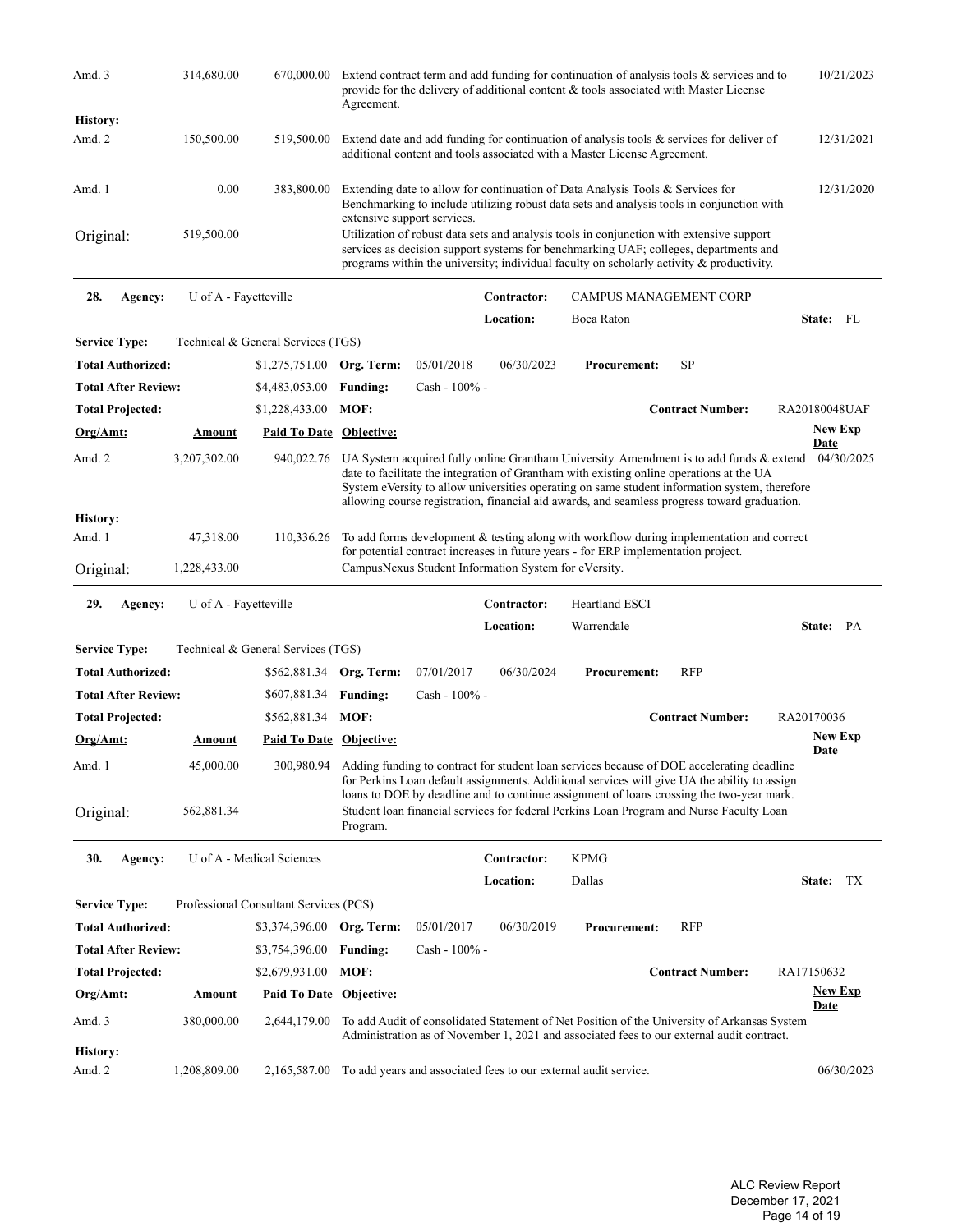| Amd. 3                     | 314,680.00                 | 670,000.00                                   | Agreement.                  | Extend contract term and add funding for continuation of analysis tools & services and to<br>provide for the delivery of additional content & tools associated with Master License                                                                                           |             |                                                                                                                                                                                                                                                                                                                                                                                      |                         |                    |  |  |
|----------------------------|----------------------------|----------------------------------------------|-----------------------------|------------------------------------------------------------------------------------------------------------------------------------------------------------------------------------------------------------------------------------------------------------------------------|-------------|--------------------------------------------------------------------------------------------------------------------------------------------------------------------------------------------------------------------------------------------------------------------------------------------------------------------------------------------------------------------------------------|-------------------------|--------------------|--|--|
| History:                   |                            |                                              |                             |                                                                                                                                                                                                                                                                              |             |                                                                                                                                                                                                                                                                                                                                                                                      |                         |                    |  |  |
| Amd. 2                     | 150,500.00                 | 519,500.00                                   |                             |                                                                                                                                                                                                                                                                              |             | Extend date and add funding for continuation of analysis tools $\&$ services for deliver of<br>additional content and tools associated with a Master License Agreement.                                                                                                                                                                                                              |                         | 12/31/2021         |  |  |
| Amd. 1                     | 0.00                       | 383,800.00                                   | extensive support services. |                                                                                                                                                                                                                                                                              |             | Extending date to allow for continuation of Data Analysis Tools & Services for<br>Benchmarking to include utilizing robust data sets and analysis tools in conjunction with                                                                                                                                                                                                          |                         | 12/31/2020         |  |  |
| Original:                  | 519,500.00                 |                                              |                             | Utilization of robust data sets and analysis tools in conjunction with extensive support<br>services as decision support systems for benchmarking UAF; colleges, departments and<br>programs within the university; individual faculty on scholarly activity & productivity. |             |                                                                                                                                                                                                                                                                                                                                                                                      |                         |                    |  |  |
| 28.<br>Agency:             | U of A - Fayetteville      |                                              |                             |                                                                                                                                                                                                                                                                              | Contractor: | CAMPUS MANAGEMENT CORP                                                                                                                                                                                                                                                                                                                                                               |                         |                    |  |  |
|                            |                            |                                              |                             |                                                                                                                                                                                                                                                                              | Location:   | Boca Raton                                                                                                                                                                                                                                                                                                                                                                           |                         | State: FL          |  |  |
| <b>Service Type:</b>       |                            | Technical & General Services (TGS)           |                             |                                                                                                                                                                                                                                                                              |             |                                                                                                                                                                                                                                                                                                                                                                                      |                         |                    |  |  |
| <b>Total Authorized:</b>   |                            | $$1,275,751.00$ Org. Term:                   |                             | 05/01/2018                                                                                                                                                                                                                                                                   | 06/30/2023  | <b>Procurement:</b>                                                                                                                                                                                                                                                                                                                                                                  | <b>SP</b>               |                    |  |  |
| <b>Total After Review:</b> |                            | \$4,483,053.00                               | <b>Funding:</b>             | Cash - 100% -                                                                                                                                                                                                                                                                |             |                                                                                                                                                                                                                                                                                                                                                                                      |                         |                    |  |  |
| <b>Total Projected:</b>    |                            | \$1,228,433.00                               | MOF:                        |                                                                                                                                                                                                                                                                              |             |                                                                                                                                                                                                                                                                                                                                                                                      | <b>Contract Number:</b> | RA20180048UAF      |  |  |
| Org/Amt:                   | Amount                     | Paid To Date Objective:                      |                             |                                                                                                                                                                                                                                                                              |             |                                                                                                                                                                                                                                                                                                                                                                                      |                         | <u>New Exp</u>     |  |  |
| Amd. 2                     | 3,207,302.00               | 940,022.76                                   |                             |                                                                                                                                                                                                                                                                              |             | UA System acquired fully online Grantham University. Amendment is to add funds & extend<br>date to facilitate the integration of Grantham with existing online operations at the UA<br>System eVersity to allow universities operating on same student information system, therefore<br>allowing course registration, financial aid awards, and seamless progress toward graduation. |                         | Date<br>04/30/2025 |  |  |
| History:<br>Amd. 1         | 47,318.00                  | 110,336.26                                   |                             |                                                                                                                                                                                                                                                                              |             | To add forms development & testing along with workflow during implementation and correct                                                                                                                                                                                                                                                                                             |                         |                    |  |  |
| Original:                  | 1,228,433.00               |                                              |                             | CampusNexus Student Information System for eVersity.                                                                                                                                                                                                                         |             | for potential contract increases in future years - for ERP implementation project.                                                                                                                                                                                                                                                                                                   |                         |                    |  |  |
|                            |                            |                                              |                             |                                                                                                                                                                                                                                                                              |             |                                                                                                                                                                                                                                                                                                                                                                                      |                         |                    |  |  |
| 29.<br>Agency:             | U of A - Fayetteville      |                                              |                             |                                                                                                                                                                                                                                                                              | Contractor: | <b>Heartland ESCI</b>                                                                                                                                                                                                                                                                                                                                                                |                         |                    |  |  |
|                            |                            |                                              |                             |                                                                                                                                                                                                                                                                              | Location:   | Warrendale                                                                                                                                                                                                                                                                                                                                                                           |                         | State: PA          |  |  |
| <b>Service Type:</b>       |                            | Technical & General Services (TGS)           |                             |                                                                                                                                                                                                                                                                              |             |                                                                                                                                                                                                                                                                                                                                                                                      |                         |                    |  |  |
| <b>Total Authorized:</b>   |                            | \$562,881.34 Org. Term:                      |                             | 07/01/2017                                                                                                                                                                                                                                                                   | 06/30/2024  | <b>Procurement:</b>                                                                                                                                                                                                                                                                                                                                                                  | <b>RFP</b>              |                    |  |  |
| <b>Total After Review:</b> |                            |                                              | <b>Funding:</b>             | Cash - 100% -                                                                                                                                                                                                                                                                |             |                                                                                                                                                                                                                                                                                                                                                                                      |                         |                    |  |  |
|                            |                            | \$607,881.34                                 |                             |                                                                                                                                                                                                                                                                              |             |                                                                                                                                                                                                                                                                                                                                                                                      | <b>Contract Number:</b> | RA20170036         |  |  |
| <b>Total Projected:</b>    |                            | \$562,881.34 MOF:                            |                             |                                                                                                                                                                                                                                                                              |             |                                                                                                                                                                                                                                                                                                                                                                                      |                         | <b>New Exp</b>     |  |  |
| Org/Amt:<br>Amd. 1         | <u>Amount</u><br>45,000.00 | <b>Paid To Date Objective:</b><br>300,980.94 |                             |                                                                                                                                                                                                                                                                              |             | Adding funding to contract for student loan services because of DOE accelerating deadline                                                                                                                                                                                                                                                                                            |                         | <b>Date</b>        |  |  |
| Original:                  | 562,881.34                 |                                              | Program.                    |                                                                                                                                                                                                                                                                              |             | for Perkins Loan default assignments. Additional services will give UA the ability to assign<br>loans to DOE by deadline and to continue assignment of loans crossing the two-year mark.<br>Student loan financial services for federal Perkins Loan Program and Nurse Faculty Loan                                                                                                  |                         |                    |  |  |
| 30.<br>Agency:             |                            | U of A - Medical Sciences                    |                             |                                                                                                                                                                                                                                                                              | Contractor: | <b>KPMG</b>                                                                                                                                                                                                                                                                                                                                                                          |                         |                    |  |  |
|                            |                            |                                              |                             |                                                                                                                                                                                                                                                                              | Location:   | Dallas                                                                                                                                                                                                                                                                                                                                                                               |                         | State:<br>TX       |  |  |
| <b>Service Type:</b>       |                            | Professional Consultant Services (PCS)       |                             |                                                                                                                                                                                                                                                                              |             |                                                                                                                                                                                                                                                                                                                                                                                      |                         |                    |  |  |
| <b>Total Authorized:</b>   |                            | \$3,374,396.00 Org. Term:                    |                             | 05/01/2017                                                                                                                                                                                                                                                                   | 06/30/2019  | <b>Procurement:</b>                                                                                                                                                                                                                                                                                                                                                                  | <b>RFP</b>              |                    |  |  |
| <b>Total After Review:</b> |                            | \$3,754,396.00                               | <b>Funding:</b>             | $Cash - 100\% -$                                                                                                                                                                                                                                                             |             |                                                                                                                                                                                                                                                                                                                                                                                      |                         |                    |  |  |
| <b>Total Projected:</b>    |                            | \$2,679,931.00                               | MOF:                        |                                                                                                                                                                                                                                                                              |             |                                                                                                                                                                                                                                                                                                                                                                                      | <b>Contract Number:</b> | RA17150632         |  |  |
| <u>Org/Amt:</u>            | <b>Amount</b>              | <b>Paid To Date Objective:</b>               |                             |                                                                                                                                                                                                                                                                              |             |                                                                                                                                                                                                                                                                                                                                                                                      |                         | <b>New Exp</b>     |  |  |
| Amd. 3                     | 380,000.00                 | 2,644,179.00                                 |                             |                                                                                                                                                                                                                                                                              |             | To add Audit of consolidated Statement of Net Position of the University of Arkansas System<br>Administration as of November 1, 2021 and associated fees to our external audit contract.                                                                                                                                                                                             |                         | <b>Date</b>        |  |  |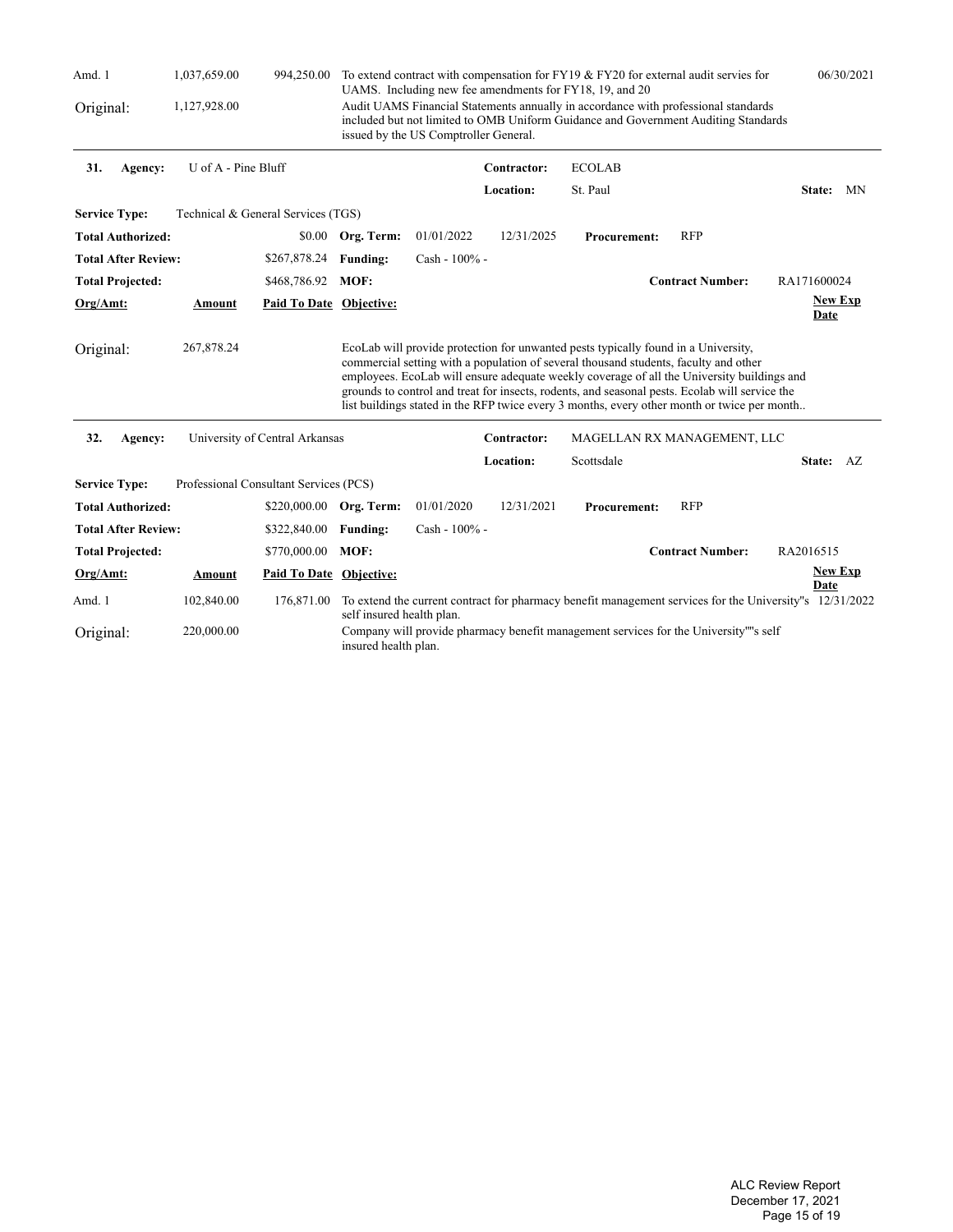| Amd. 1                     | 1,037,659.00        | 994,250.00                             |                                                                                                                                                                                                                                                                              |                  |             | To extend contract with compensation for FY19 & FY20 for external audit servies for                                                                                                                                                                                                                                                                                                                                                                                       |                             | 06/30/2021                                                                                              |  |
|----------------------------|---------------------|----------------------------------------|------------------------------------------------------------------------------------------------------------------------------------------------------------------------------------------------------------------------------------------------------------------------------|------------------|-------------|---------------------------------------------------------------------------------------------------------------------------------------------------------------------------------------------------------------------------------------------------------------------------------------------------------------------------------------------------------------------------------------------------------------------------------------------------------------------------|-----------------------------|---------------------------------------------------------------------------------------------------------|--|
| Original:                  | 1,127,928.00        |                                        | UAMS. Including new fee amendments for FY18, 19, and 20<br>Audit UAMS Financial Statements annually in accordance with professional standards<br>included but not limited to OMB Uniform Guidance and Government Auditing Standards<br>issued by the US Comptroller General. |                  |             |                                                                                                                                                                                                                                                                                                                                                                                                                                                                           |                             |                                                                                                         |  |
| 31.<br>Agency:             | U of A - Pine Bluff |                                        |                                                                                                                                                                                                                                                                              |                  | Contractor: | <b>ECOLAB</b>                                                                                                                                                                                                                                                                                                                                                                                                                                                             |                             |                                                                                                         |  |
|                            |                     |                                        |                                                                                                                                                                                                                                                                              |                  | Location:   | St. Paul                                                                                                                                                                                                                                                                                                                                                                                                                                                                  |                             | State: MN                                                                                               |  |
| <b>Service Type:</b>       |                     | Technical & General Services (TGS)     |                                                                                                                                                                                                                                                                              |                  |             |                                                                                                                                                                                                                                                                                                                                                                                                                                                                           |                             |                                                                                                         |  |
| <b>Total Authorized:</b>   |                     | \$0.00                                 | Org. Term:                                                                                                                                                                                                                                                                   | 01/01/2022       | 12/31/2025  | <b>Procurement:</b>                                                                                                                                                                                                                                                                                                                                                                                                                                                       | <b>RFP</b>                  |                                                                                                         |  |
| <b>Total After Review:</b> |                     | \$267,878.24                           | <b>Funding:</b>                                                                                                                                                                                                                                                              | $Cash - 100\% -$ |             |                                                                                                                                                                                                                                                                                                                                                                                                                                                                           |                             |                                                                                                         |  |
| <b>Total Projected:</b>    |                     | \$468,786.92 MOF:                      |                                                                                                                                                                                                                                                                              |                  |             |                                                                                                                                                                                                                                                                                                                                                                                                                                                                           | <b>Contract Number:</b>     | RA171600024                                                                                             |  |
| Org/Amt:                   | Amount              | Paid To Date Objective:                |                                                                                                                                                                                                                                                                              |                  |             |                                                                                                                                                                                                                                                                                                                                                                                                                                                                           |                             | <b>New Exp</b><br>Date                                                                                  |  |
| Original:                  | 267,878.24          |                                        |                                                                                                                                                                                                                                                                              |                  |             | EcoLab will provide protection for unwanted pests typically found in a University,<br>commercial setting with a population of several thousand students, faculty and other<br>employees. EcoLab will ensure adequate weekly coverage of all the University buildings and<br>grounds to control and treat for insects, rodents, and seasonal pests. Ecolab will service the<br>list buildings stated in the RFP twice every 3 months, every other month or twice per month |                             |                                                                                                         |  |
| 32.<br>Agency:             |                     | University of Central Arkansas         |                                                                                                                                                                                                                                                                              |                  | Contractor: |                                                                                                                                                                                                                                                                                                                                                                                                                                                                           | MAGELLAN RX MANAGEMENT, LLC |                                                                                                         |  |
|                            |                     |                                        |                                                                                                                                                                                                                                                                              |                  | Location:   | Scottsdale                                                                                                                                                                                                                                                                                                                                                                                                                                                                |                             | State: AZ                                                                                               |  |
| <b>Service Type:</b>       |                     | Professional Consultant Services (PCS) |                                                                                                                                                                                                                                                                              |                  |             |                                                                                                                                                                                                                                                                                                                                                                                                                                                                           |                             |                                                                                                         |  |
| <b>Total Authorized:</b>   |                     | \$220,000.00 Org. Term:                |                                                                                                                                                                                                                                                                              | 01/01/2020       | 12/31/2021  | <b>Procurement:</b>                                                                                                                                                                                                                                                                                                                                                                                                                                                       | <b>RFP</b>                  |                                                                                                         |  |
| <b>Total After Review:</b> |                     | \$322,840.00                           | <b>Funding:</b>                                                                                                                                                                                                                                                              | Cash - 100% -    |             |                                                                                                                                                                                                                                                                                                                                                                                                                                                                           |                             |                                                                                                         |  |
| <b>Total Projected:</b>    |                     | \$770,000.00                           | MOF:                                                                                                                                                                                                                                                                         |                  |             |                                                                                                                                                                                                                                                                                                                                                                                                                                                                           | <b>Contract Number:</b>     | RA2016515                                                                                               |  |
| Org/Amt:                   | Amount              | Paid To Date Objective:                |                                                                                                                                                                                                                                                                              |                  |             |                                                                                                                                                                                                                                                                                                                                                                                                                                                                           |                             | <b>New Exp</b><br>Date                                                                                  |  |
| Amd. 1                     | 102,840.00          | 176,871.00                             | self insured health plan.                                                                                                                                                                                                                                                    |                  |             |                                                                                                                                                                                                                                                                                                                                                                                                                                                                           |                             | To extend the current contract for pharmacy benefit management services for the University"s 12/31/2022 |  |
| Original:                  | 220,000.00          |                                        | insured health plan.                                                                                                                                                                                                                                                         |                  |             | Company will provide pharmacy benefit management services for the University""s self                                                                                                                                                                                                                                                                                                                                                                                      |                             |                                                                                                         |  |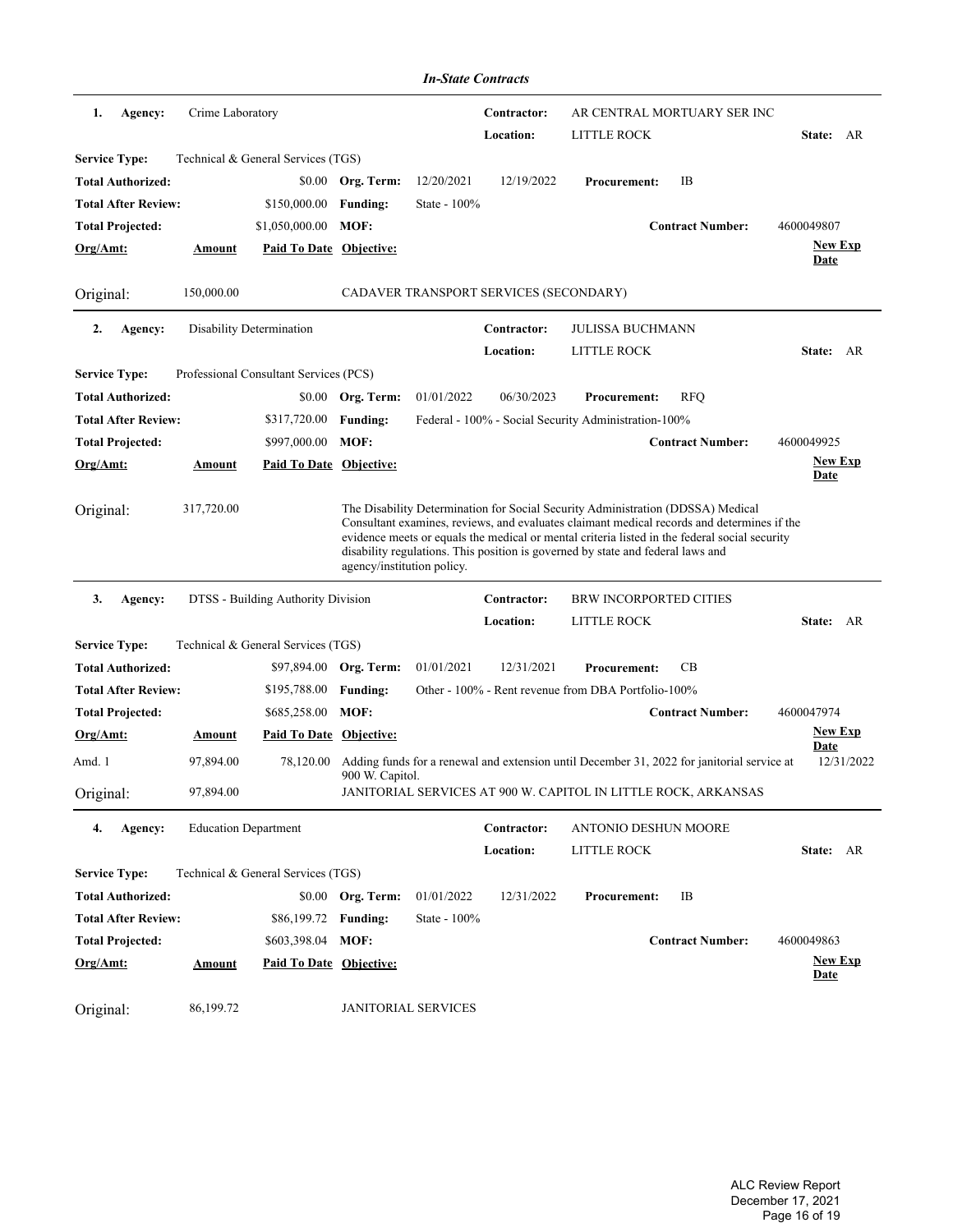|                            |                             |                                        |                            | <b>In-State Contracts</b> |                                        |                                                                                                                                                                                                                                                                                                                                                                   |                         |                               |
|----------------------------|-----------------------------|----------------------------------------|----------------------------|---------------------------|----------------------------------------|-------------------------------------------------------------------------------------------------------------------------------------------------------------------------------------------------------------------------------------------------------------------------------------------------------------------------------------------------------------------|-------------------------|-------------------------------|
| 1.<br>Agency:              | Crime Laboratory            |                                        |                            |                           | Contractor:<br>Location:               | AR CENTRAL MORTUARY SER INC<br>LITTLE ROCK                                                                                                                                                                                                                                                                                                                        |                         | State: AR                     |
| <b>Service Type:</b>       |                             | Technical & General Services (TGS)     |                            |                           |                                        |                                                                                                                                                                                                                                                                                                                                                                   |                         |                               |
| <b>Total Authorized:</b>   |                             | \$0.00                                 | Org. Term:                 | 12/20/2021                | 12/19/2022                             | <b>Procurement:</b>                                                                                                                                                                                                                                                                                                                                               | IB                      |                               |
| <b>Total After Review:</b> |                             | \$150,000.00                           | <b>Funding:</b>            | State - 100%              |                                        |                                                                                                                                                                                                                                                                                                                                                                   |                         |                               |
| <b>Total Projected:</b>    |                             | \$1,050,000.00                         | MOF:                       |                           |                                        |                                                                                                                                                                                                                                                                                                                                                                   | <b>Contract Number:</b> | 4600049807                    |
| Org/Amt:                   | <u>Amount</u>               | <b>Paid To Date Objective:</b>         |                            |                           |                                        |                                                                                                                                                                                                                                                                                                                                                                   |                         | <b>New Exp</b><br>Date        |
| Original:                  | 150,000.00                  |                                        |                            |                           | CADAVER TRANSPORT SERVICES (SECONDARY) |                                                                                                                                                                                                                                                                                                                                                                   |                         |                               |
| 2.<br>Agency:              |                             | Disability Determination               |                            |                           | Contractor:                            | JULISSA BUCHMANN                                                                                                                                                                                                                                                                                                                                                  |                         |                               |
|                            |                             |                                        |                            |                           | Location:                              | LITTLE ROCK                                                                                                                                                                                                                                                                                                                                                       |                         | State: AR                     |
| <b>Service Type:</b>       |                             | Professional Consultant Services (PCS) |                            |                           |                                        |                                                                                                                                                                                                                                                                                                                                                                   |                         |                               |
| <b>Total Authorized:</b>   |                             |                                        | \$0.00 Org. Term:          | 01/01/2022                | 06/30/2023                             | <b>Procurement:</b>                                                                                                                                                                                                                                                                                                                                               | <b>RFQ</b>              |                               |
| <b>Total After Review:</b> |                             | \$317,720.00                           | <b>Funding:</b>            |                           |                                        | Federal - 100% - Social Security Administration-100%                                                                                                                                                                                                                                                                                                              |                         |                               |
| <b>Total Projected:</b>    |                             | \$997,000.00                           | MOF:                       |                           |                                        |                                                                                                                                                                                                                                                                                                                                                                   | <b>Contract Number:</b> | 4600049925                    |
| Org/Amt:                   | Amount                      | Paid To Date Objective:                |                            |                           |                                        |                                                                                                                                                                                                                                                                                                                                                                   |                         | <b>New Exp</b><br>Date        |
| Original:                  | 317,720.00                  |                                        | agency/institution policy. |                           |                                        | The Disability Determination for Social Security Administration (DDSSA) Medical<br>Consultant examines, reviews, and evaluates claimant medical records and determines if the<br>evidence meets or equals the medical or mental criteria listed in the federal social security<br>disability regulations. This position is governed by state and federal laws and |                         |                               |
| 3.<br>Agency:              |                             | DTSS - Building Authority Division     |                            |                           | Contractor:                            | <b>BRW INCORPORTED CITIES</b>                                                                                                                                                                                                                                                                                                                                     |                         |                               |
|                            |                             |                                        |                            |                           | Location:                              | LITTLE ROCK                                                                                                                                                                                                                                                                                                                                                       |                         | State: AR                     |
| <b>Service Type:</b>       |                             | Technical & General Services (TGS)     |                            |                           |                                        |                                                                                                                                                                                                                                                                                                                                                                   |                         |                               |
| <b>Total Authorized:</b>   |                             |                                        | \$97,894.00 Org. Term:     | 01/01/2021                | 12/31/2021                             | <b>Procurement:</b>                                                                                                                                                                                                                                                                                                                                               | CВ                      |                               |
| <b>Total After Review:</b> |                             | \$195,788.00                           | <b>Funding:</b>            |                           |                                        | Other - 100% - Rent revenue from DBA Portfolio-100%                                                                                                                                                                                                                                                                                                               |                         |                               |
| <b>Total Projected:</b>    |                             | \$685,258.00                           | MOF:                       |                           |                                        |                                                                                                                                                                                                                                                                                                                                                                   | <b>Contract Number:</b> | 4600047974                    |
| <u>Org/Amt:</u>            | <b>Amount</b>               | <b>Paid To Date Objective:</b>         |                            |                           |                                        |                                                                                                                                                                                                                                                                                                                                                                   |                         | <b>New Exp</b>                |
| Amd. 1                     | 97,894.00                   |                                        | 900 W. Capitol.            |                           |                                        | 78,120.00 Adding funds for a renewal and extension until December 31, 2022 for janitorial service at                                                                                                                                                                                                                                                              |                         | <b>Date</b><br>12/31/2022     |
| Original:                  | 97,894.00                   |                                        |                            |                           |                                        | JANITORIAL SERVICES AT 900 W. CAPITOL IN LITTLE ROCK, ARKANSAS                                                                                                                                                                                                                                                                                                    |                         |                               |
| 4.<br>Agency:              | <b>Education Department</b> |                                        |                            |                           | Contractor:                            | <b>ANTONIO DESHUN MOORE</b>                                                                                                                                                                                                                                                                                                                                       |                         |                               |
|                            |                             |                                        |                            |                           | Location:                              | <b>LITTLE ROCK</b>                                                                                                                                                                                                                                                                                                                                                |                         | State: AR                     |
| <b>Service Type:</b>       |                             | Technical & General Services (TGS)     |                            |                           |                                        |                                                                                                                                                                                                                                                                                                                                                                   |                         |                               |
| <b>Total Authorized:</b>   |                             |                                        | \$0.00 Org. Term:          | 01/01/2022                | 12/31/2022                             | <b>Procurement:</b>                                                                                                                                                                                                                                                                                                                                               | IB                      |                               |
| <b>Total After Review:</b> |                             | \$86,199.72 Funding:                   |                            | State - 100%              |                                        |                                                                                                                                                                                                                                                                                                                                                                   |                         |                               |
| <b>Total Projected:</b>    |                             | \$603,398.04 MOF:                      |                            |                           |                                        |                                                                                                                                                                                                                                                                                                                                                                   | <b>Contract Number:</b> | 4600049863                    |
| Org/Amt:                   | Amount                      | <b>Paid To Date Objective:</b>         |                            |                           |                                        |                                                                                                                                                                                                                                                                                                                                                                   |                         | <b>New Exp</b><br><u>Date</u> |
| Original:                  | 86,199.72                   |                                        | <b>JANITORIAL SERVICES</b> |                           |                                        |                                                                                                                                                                                                                                                                                                                                                                   |                         |                               |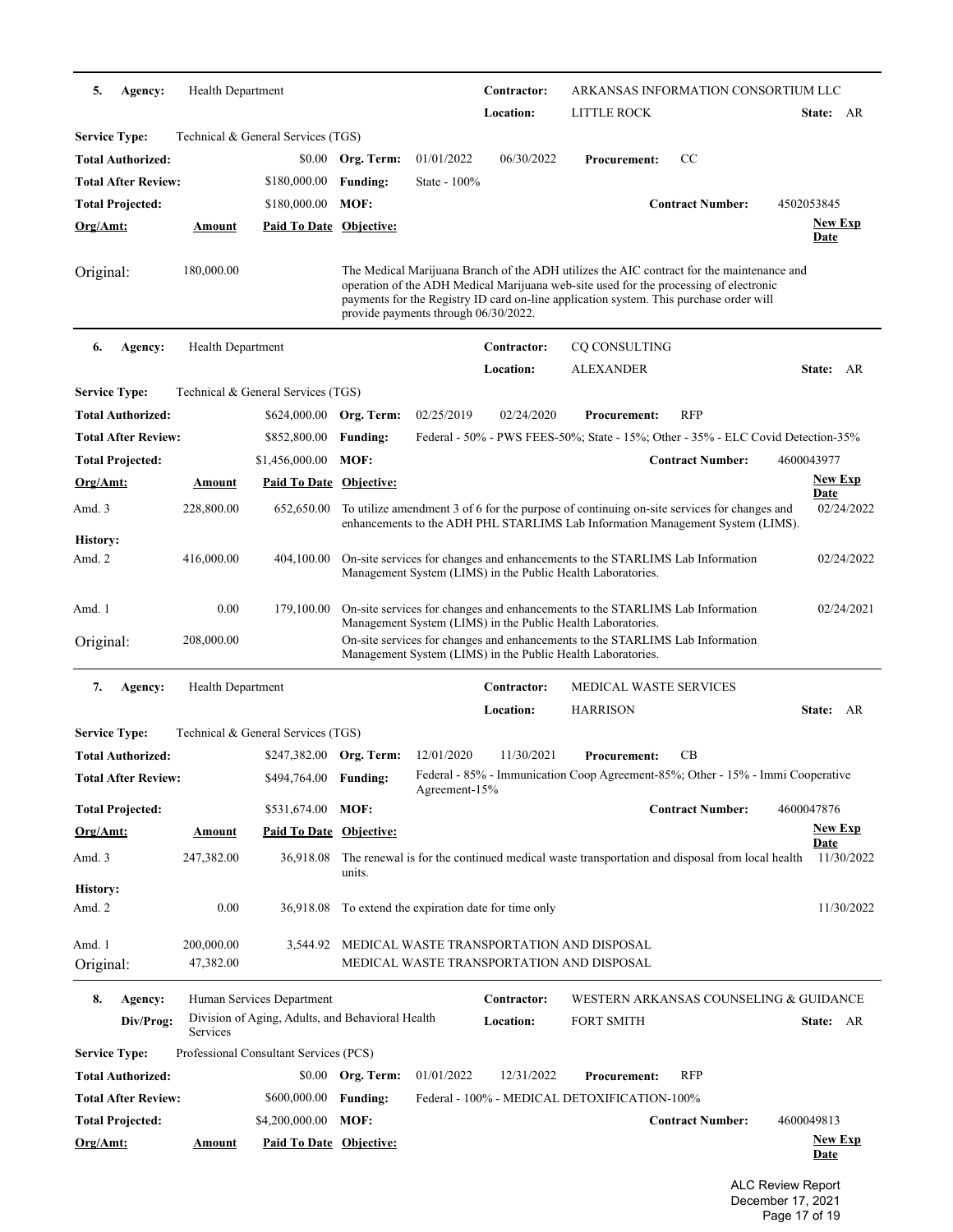| 5.<br>Agency:              | Health Department       |                                                                               |                   |                                                       | Contractor:              |                                                                                                                                                                                                                                                                              | ARKANSAS INFORMATION CONSORTIUM LLC    |                               |
|----------------------------|-------------------------|-------------------------------------------------------------------------------|-------------------|-------------------------------------------------------|--------------------------|------------------------------------------------------------------------------------------------------------------------------------------------------------------------------------------------------------------------------------------------------------------------------|----------------------------------------|-------------------------------|
|                            |                         |                                                                               |                   |                                                       | Location:                | LITTLE ROCK                                                                                                                                                                                                                                                                  |                                        | State: AR                     |
| <b>Service Type:</b>       |                         | Technical & General Services (TGS)                                            |                   |                                                       |                          |                                                                                                                                                                                                                                                                              |                                        |                               |
| <b>Total Authorized:</b>   |                         | \$0.00                                                                        | Org. Term:        | 01/01/2022                                            | 06/30/2022               | <b>Procurement:</b>                                                                                                                                                                                                                                                          | CC                                     |                               |
| <b>Total After Review:</b> |                         | \$180,000.00                                                                  | <b>Funding:</b>   | State - $100\%$                                       |                          |                                                                                                                                                                                                                                                                              |                                        |                               |
| <b>Total Projected:</b>    |                         | \$180,000.00                                                                  | MOF:              |                                                       |                          |                                                                                                                                                                                                                                                                              | <b>Contract Number:</b>                | 4502053845                    |
| Org/Amt:                   | <b>Amount</b>           | <b>Paid To Date Objective:</b>                                                |                   |                                                       |                          |                                                                                                                                                                                                                                                                              |                                        | <b>New Exp</b><br><b>Date</b> |
| Original:                  | 180,000.00              |                                                                               |                   | provide payments through 06/30/2022.                  |                          | The Medical Marijuana Branch of the ADH utilizes the AIC contract for the maintenance and<br>operation of the ADH Medical Marijuana web-site used for the processing of electronic<br>payments for the Registry ID card on-line application system. This purchase order will |                                        |                               |
| 6.<br>Agency:              | Health Department       |                                                                               |                   |                                                       | Contractor:              | CQ CONSULTING                                                                                                                                                                                                                                                                |                                        |                               |
|                            |                         |                                                                               |                   |                                                       | Location:                | <b>ALEXANDER</b>                                                                                                                                                                                                                                                             |                                        | State: AR                     |
| <b>Service Type:</b>       |                         | Technical & General Services (TGS)                                            |                   |                                                       |                          |                                                                                                                                                                                                                                                                              |                                        |                               |
| <b>Total Authorized:</b>   |                         | \$624,000.00                                                                  | Org. Term:        | 02/25/2019                                            | 02/24/2020               | <b>Procurement:</b>                                                                                                                                                                                                                                                          | <b>RFP</b>                             |                               |
| <b>Total After Review:</b> |                         | \$852,800.00                                                                  | <b>Funding:</b>   |                                                       |                          | Federal - 50% - PWS FEES-50%; State - 15%; Other - 35% - ELC Covid Detection-35%                                                                                                                                                                                             |                                        |                               |
| <b>Total Projected:</b>    |                         | \$1,456,000.00                                                                | MOF:              |                                                       |                          |                                                                                                                                                                                                                                                                              | <b>Contract Number:</b>                | 4600043977                    |
| Org/Amt:                   | Amount                  | <b>Paid To Date Objective:</b>                                                |                   |                                                       |                          |                                                                                                                                                                                                                                                                              |                                        | <b>New Exp</b>                |
| Amd. 3                     | 228,800.00              | 652,650.00                                                                    |                   |                                                       |                          | To utilize amendment 3 of 6 for the purpose of continuing on-site services for changes and<br>enhancements to the ADH PHL STARLIMS Lab Information Management System (LIMS).                                                                                                 |                                        | Date<br>02/24/2022            |
| History:<br>Amd. 2         | 416,000.00              | 404,100.00                                                                    |                   |                                                       |                          | On-site services for changes and enhancements to the STARLIMS Lab Information<br>Management System (LIMS) in the Public Health Laboratories.                                                                                                                                 |                                        | 02/24/2022                    |
| Amd. 1                     | 0.00                    | 179,100.00                                                                    |                   |                                                       |                          | On-site services for changes and enhancements to the STARLIMS Lab Information<br>Management System (LIMS) in the Public Health Laboratories.                                                                                                                                 |                                        | 02/24/2021                    |
| Original:                  | 208,000.00              |                                                                               |                   |                                                       |                          | On-site services for changes and enhancements to the STARLIMS Lab Information<br>Management System (LIMS) in the Public Health Laboratories.                                                                                                                                 |                                        |                               |
| 7.<br>Agency:              | Health Department       |                                                                               |                   |                                                       | Contractor:              | <b>MEDICAL WASTE SERVICES</b>                                                                                                                                                                                                                                                |                                        |                               |
|                            |                         |                                                                               |                   |                                                       | Location:                | <b>HARRISON</b>                                                                                                                                                                                                                                                              |                                        | State: AR                     |
| <b>Service Type:</b>       |                         | Technical & General Services (TGS)                                            |                   |                                                       |                          |                                                                                                                                                                                                                                                                              |                                        |                               |
| <b>Total Authorized:</b>   |                         | \$247,382.00 Org. Term:                                                       |                   | 12/01/2020                                            | 11/30/2021               | <b>Procurement:</b>                                                                                                                                                                                                                                                          | CВ                                     |                               |
| <b>Total After Review:</b> |                         | \$494,764.00 Funding:                                                         |                   | Agreement- $15%$                                      |                          | Federal - 85% - Immunication Coop Agreement-85%; Other - 15% - Immi Cooperative                                                                                                                                                                                              |                                        |                               |
| <b>Total Projected:</b>    |                         | \$531,674.00                                                                  | MOF:              |                                                       |                          |                                                                                                                                                                                                                                                                              | <b>Contract Number:</b>                | 4600047876                    |
| $Org/Amt$ :                | <b>Amount</b>           | <b>Paid To Date Objective:</b>                                                |                   |                                                       |                          |                                                                                                                                                                                                                                                                              |                                        | <b>New Exp</b>                |
| Amd. 3                     | 247,382.00              | 36,918.08                                                                     | units.            |                                                       |                          | The renewal is for the continued medical waste transportation and disposal from local health                                                                                                                                                                                 |                                        | <b>Date</b><br>11/30/2022     |
| History:                   |                         |                                                                               |                   |                                                       |                          |                                                                                                                                                                                                                                                                              |                                        |                               |
| Amd. 2                     | 0.00                    |                                                                               |                   | 36,918.08 To extend the expiration date for time only |                          |                                                                                                                                                                                                                                                                              |                                        | 11/30/2022                    |
| Amd. 1<br>Original:        | 200,000.00<br>47,382.00 |                                                                               |                   |                                                       |                          | 3,544.92 MEDICAL WASTE TRANSPORTATION AND DISPOSAL<br>MEDICAL WASTE TRANSPORTATION AND DISPOSAL                                                                                                                                                                              |                                        |                               |
|                            |                         |                                                                               |                   |                                                       |                          |                                                                                                                                                                                                                                                                              |                                        |                               |
| 8.<br>Agency:<br>Div/Prog: |                         | Human Services Department<br>Division of Aging, Adults, and Behavioral Health |                   |                                                       | Contractor:<br>Location: | <b>FORT SMITH</b>                                                                                                                                                                                                                                                            | WESTERN ARKANSAS COUNSELING & GUIDANCE | State: AR                     |
| <b>Service Type:</b>       | Services                | Professional Consultant Services (PCS)                                        |                   |                                                       |                          |                                                                                                                                                                                                                                                                              |                                        |                               |
| <b>Total Authorized:</b>   |                         |                                                                               | \$0.00 Org. Term: | 01/01/2022                                            | 12/31/2022               | <b>Procurement:</b>                                                                                                                                                                                                                                                          | RFP                                    |                               |
| <b>Total After Review:</b> |                         | \$600,000.00                                                                  | <b>Funding:</b>   |                                                       |                          | Federal - 100% - MEDICAL DETOXIFICATION-100%                                                                                                                                                                                                                                 |                                        |                               |
| <b>Total Projected:</b>    |                         | \$4,200,000.00 MOF:                                                           |                   |                                                       |                          |                                                                                                                                                                                                                                                                              | <b>Contract Number:</b>                | 4600049813                    |
| Org/Amt:                   | <b>Amount</b>           | <b>Paid To Date Objective:</b>                                                |                   |                                                       |                          |                                                                                                                                                                                                                                                                              |                                        | <b>New Exp</b>                |
|                            |                         |                                                                               |                   |                                                       |                          |                                                                                                                                                                                                                                                                              |                                        | <b>Date</b>                   |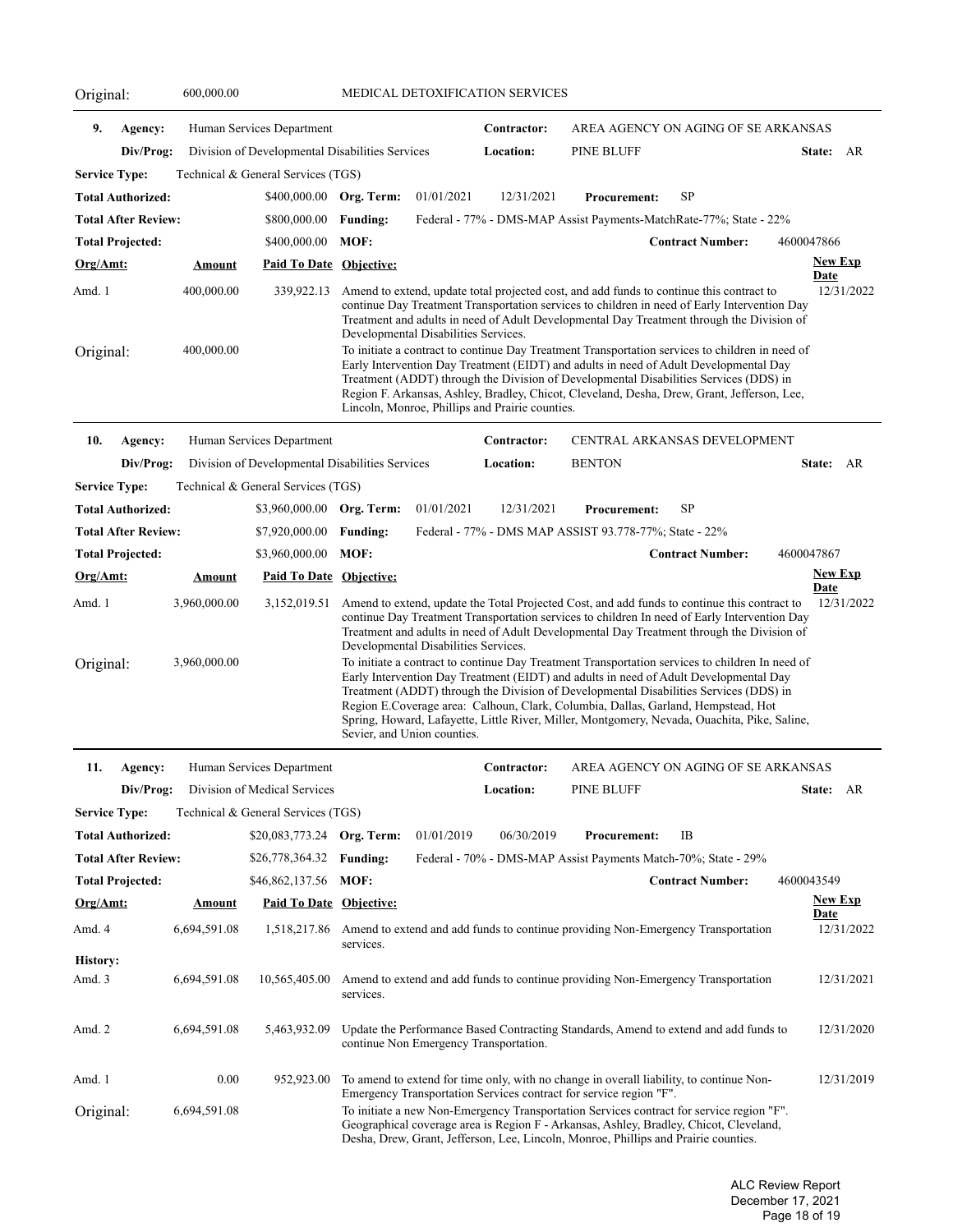| Original:          |                            | 600,000.00    |                                                 | MEDICAL DETOXIFICATION SERVICES |                                      |                                                 |                                                                                                                                                                                                                                                                                                                                                                                                                                                                        |                                     |                           |  |
|--------------------|----------------------------|---------------|-------------------------------------------------|---------------------------------|--------------------------------------|-------------------------------------------------|------------------------------------------------------------------------------------------------------------------------------------------------------------------------------------------------------------------------------------------------------------------------------------------------------------------------------------------------------------------------------------------------------------------------------------------------------------------------|-------------------------------------|---------------------------|--|
| 9.                 | Agency:                    |               | Human Services Department                       |                                 |                                      | Contractor:                                     |                                                                                                                                                                                                                                                                                                                                                                                                                                                                        | AREA AGENCY ON AGING OF SE ARKANSAS |                           |  |
|                    | Div/Prog:                  |               | Division of Developmental Disabilities Services |                                 |                                      | Location:                                       | <b>PINE BLUFF</b>                                                                                                                                                                                                                                                                                                                                                                                                                                                      |                                     | State: AR                 |  |
|                    | <b>Service Type:</b>       |               | Technical & General Services (TGS)              |                                 |                                      |                                                 |                                                                                                                                                                                                                                                                                                                                                                                                                                                                        |                                     |                           |  |
|                    | <b>Total Authorized:</b>   |               | \$400,000.00                                    | Org. Term:                      | 01/01/2021                           | 12/31/2021                                      | <b>Procurement:</b>                                                                                                                                                                                                                                                                                                                                                                                                                                                    | SP                                  |                           |  |
|                    | <b>Total After Review:</b> |               | \$800,000.00                                    | <b>Funding:</b>                 |                                      |                                                 | Federal - 77% - DMS-MAP Assist Payments-MatchRate-77%; State - 22%                                                                                                                                                                                                                                                                                                                                                                                                     |                                     |                           |  |
|                    | <b>Total Projected:</b>    |               | \$400,000.00                                    | MOF:                            |                                      |                                                 |                                                                                                                                                                                                                                                                                                                                                                                                                                                                        | <b>Contract Number:</b>             | 4600047866                |  |
| Org/Amt:           |                            | <u>Amount</u> | <b>Paid To Date Objective:</b>                  |                                 |                                      |                                                 |                                                                                                                                                                                                                                                                                                                                                                                                                                                                        |                                     | <b>New Exp</b>            |  |
| Amd. 1             |                            | 400,000.00    | 339,922.13                                      |                                 |                                      |                                                 | Amend to extend, update total projected cost, and add funds to continue this contract to                                                                                                                                                                                                                                                                                                                                                                               |                                     | Date<br>12/31/2022        |  |
|                    |                            |               |                                                 |                                 | Developmental Disabilities Services. |                                                 | continue Day Treatment Transportation services to children in need of Early Intervention Day<br>Treatment and adults in need of Adult Developmental Day Treatment through the Division of                                                                                                                                                                                                                                                                              |                                     |                           |  |
| Original:          |                            | 400,000.00    |                                                 |                                 |                                      | Lincoln, Monroe, Phillips and Prairie counties. | To initiate a contract to continue Day Treatment Transportation services to children in need of<br>Early Intervention Day Treatment (EIDT) and adults in need of Adult Developmental Day<br>Treatment (ADDT) through the Division of Developmental Disabilities Services (DDS) in<br>Region F. Arkansas, Ashley, Bradley, Chicot, Cleveland, Desha, Drew, Grant, Jefferson, Lee,                                                                                       |                                     |                           |  |
| 10.                | Agency:                    |               | Human Services Department                       |                                 |                                      | Contractor:                                     |                                                                                                                                                                                                                                                                                                                                                                                                                                                                        | CENTRAL ARKANSAS DEVELOPMENT        |                           |  |
|                    | Div/Prog:                  |               | Division of Developmental Disabilities Services |                                 |                                      | Location:                                       | <b>BENTON</b>                                                                                                                                                                                                                                                                                                                                                                                                                                                          |                                     | State: AR                 |  |
|                    | <b>Service Type:</b>       |               | Technical & General Services (TGS)              |                                 |                                      |                                                 |                                                                                                                                                                                                                                                                                                                                                                                                                                                                        |                                     |                           |  |
|                    | <b>Total Authorized:</b>   |               | \$3,960,000.00 Org. Term:                       |                                 | 01/01/2021                           | 12/31/2021                                      | <b>Procurement:</b>                                                                                                                                                                                                                                                                                                                                                                                                                                                    | SP                                  |                           |  |
|                    | <b>Total After Review:</b> |               | \$7,920,000.00                                  | <b>Funding:</b>                 |                                      |                                                 | Federal - 77% - DMS MAP ASSIST 93.778-77%; State - 22%                                                                                                                                                                                                                                                                                                                                                                                                                 |                                     |                           |  |
|                    | <b>Total Projected:</b>    |               | \$3,960,000.00                                  | MOF:                            |                                      |                                                 |                                                                                                                                                                                                                                                                                                                                                                                                                                                                        | <b>Contract Number:</b>             | 4600047867                |  |
| Org/Amt:           |                            | <b>Amount</b> | <b>Paid To Date Objective:</b>                  |                                 |                                      |                                                 |                                                                                                                                                                                                                                                                                                                                                                                                                                                                        |                                     | <b>New Exp</b><br>Date    |  |
| Amd. 1             |                            | 3,960,000.00  | 3,152,019.51                                    |                                 | Developmental Disabilities Services. |                                                 | Amend to extend, update the Total Projected Cost, and add funds to continue this contract to<br>continue Day Treatment Transportation services to children In need of Early Intervention Day<br>Treatment and adults in need of Adult Developmental Day Treatment through the Division of                                                                                                                                                                              |                                     | 12/31/2022                |  |
| Original:          |                            | 3,960,000.00  |                                                 |                                 | Sevier, and Union counties.          |                                                 | To initiate a contract to continue Day Treatment Transportation services to children In need of<br>Early Intervention Day Treatment (EIDT) and adults in need of Adult Developmental Day<br>Treatment (ADDT) through the Division of Developmental Disabilities Services (DDS) in<br>Region E.Coverage area: Calhoun, Clark, Columbia, Dallas, Garland, Hempstead, Hot<br>Spring, Howard, Lafayette, Little River, Miller, Montgomery, Nevada, Ouachita, Pike, Saline, |                                     |                           |  |
| 11.                | Agency:                    |               | Human Services Department                       |                                 |                                      | Contractor:                                     |                                                                                                                                                                                                                                                                                                                                                                                                                                                                        | AREA AGENCY ON AGING OF SE ARKANSAS |                           |  |
|                    | Div/Prog:                  |               | Division of Medical Services                    |                                 |                                      | Location:                                       | PINE BLUFF                                                                                                                                                                                                                                                                                                                                                                                                                                                             |                                     | State: AR                 |  |
|                    | <b>Service Type:</b>       |               | Technical & General Services (TGS)              |                                 |                                      |                                                 |                                                                                                                                                                                                                                                                                                                                                                                                                                                                        |                                     |                           |  |
|                    | <b>Total Authorized:</b>   |               | \$20,083,773.24 Org. Term:                      |                                 | 01/01/2019                           | 06/30/2019                                      | <b>Procurement:</b>                                                                                                                                                                                                                                                                                                                                                                                                                                                    | IB                                  |                           |  |
|                    | <b>Total After Review:</b> |               | \$26,778,364.32                                 | <b>Funding:</b>                 |                                      |                                                 | Federal - 70% - DMS-MAP Assist Payments Match-70%; State - 29%                                                                                                                                                                                                                                                                                                                                                                                                         |                                     |                           |  |
|                    | <b>Total Projected:</b>    |               | \$46,862,137.56                                 | MOF:                            |                                      |                                                 |                                                                                                                                                                                                                                                                                                                                                                                                                                                                        | <b>Contract Number:</b>             | 4600043549                |  |
| <u>Org/Amt:</u>    |                            | <b>Amount</b> | <b>Paid To Date Objective:</b>                  |                                 |                                      |                                                 |                                                                                                                                                                                                                                                                                                                                                                                                                                                                        |                                     | <b>New Exp</b>            |  |
| Amd. 4             |                            | 6,694,591.08  | 1,518,217.86                                    | services.                       |                                      |                                                 | Amend to extend and add funds to continue providing Non-Emergency Transportation                                                                                                                                                                                                                                                                                                                                                                                       |                                     | <b>Date</b><br>12/31/2022 |  |
| History:<br>Amd. 3 |                            | 6,694,591.08  | 10,565,405.00                                   | services.                       |                                      |                                                 | Amend to extend and add funds to continue providing Non-Emergency Transportation                                                                                                                                                                                                                                                                                                                                                                                       |                                     | 12/31/2021                |  |
| Amd. 2             |                            | 6,694,591.08  | 5,463,932.09                                    |                                 |                                      | continue Non Emergency Transportation.          | Update the Performance Based Contracting Standards, Amend to extend and add funds to                                                                                                                                                                                                                                                                                                                                                                                   |                                     | 12/31/2020                |  |
| Amd. 1             |                            | 0.00          | 952,923.00                                      |                                 |                                      |                                                 | To amend to extend for time only, with no change in overall liability, to continue Non-<br>Emergency Transportation Services contract for service region "F".                                                                                                                                                                                                                                                                                                          |                                     | 12/31/2019                |  |
| Original:          |                            | 6,694,591.08  |                                                 |                                 |                                      |                                                 | To initiate a new Non-Emergency Transportation Services contract for service region "F".<br>Geographical coverage area is Region F - Arkansas, Ashley, Bradley, Chicot, Cleveland,<br>Desha, Drew, Grant, Jefferson, Lee, Lincoln, Monroe, Phillips and Prairie counties.                                                                                                                                                                                              |                                     |                           |  |